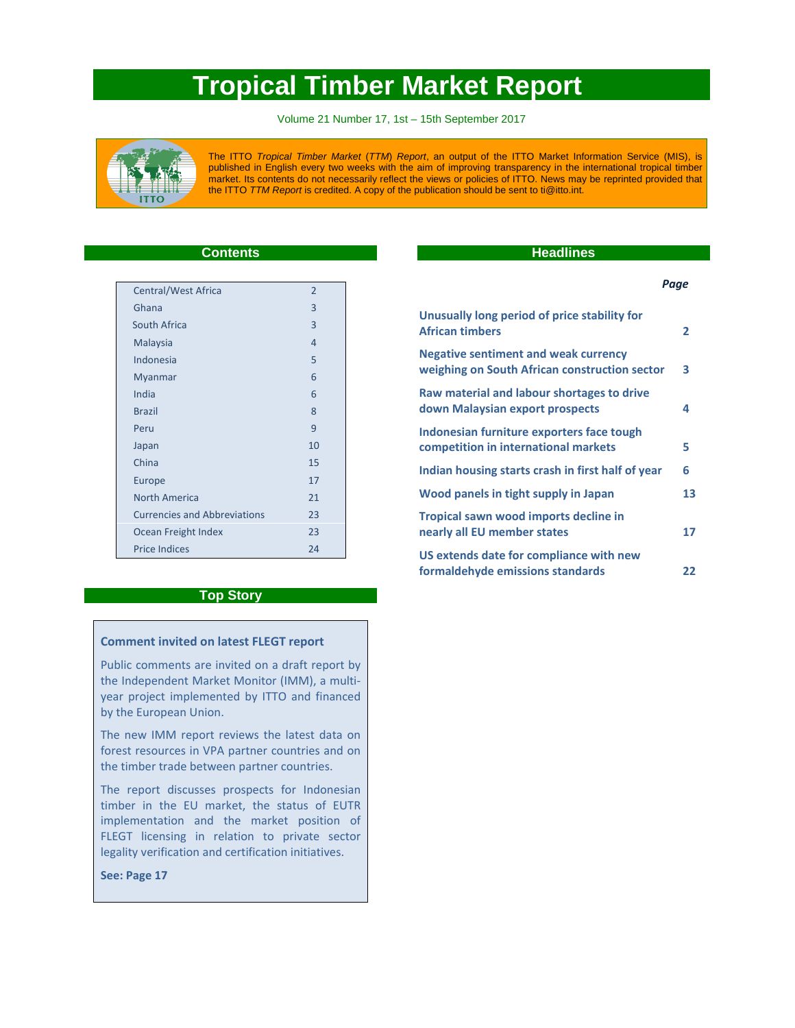# **Tropical Timber Market Report**

Volume 21 Number 17, 1st – 15th September 2017



The ITTO *Tropical Timber Market* (*TTM*) *Report*, an output of the ITTO Market Information Service (MIS), is published in English every two weeks with the aim of improving transparency in the international tropical timber market. Its contents do not necessarily reflect the views or policies of ITTO. News may be reprinted provided that the ITTO *TTM Report* is credited. A copy of the publication should be sent to ti@itto.int.

# **Contents**

| <b>Central/West Africa</b>          | $\overline{2}$ |
|-------------------------------------|----------------|
| Ghana                               | 3              |
| South Africa                        | $\overline{3}$ |
| Malaysia                            | $\overline{4}$ |
| Indonesia                           | 5              |
| Myanmar                             | 6              |
| India                               | 6              |
| <b>Brazil</b>                       | 8              |
| Peru                                | 9              |
| Japan                               | 10             |
| China                               | 15             |
| Europe                              | 17             |
| North America                       | 21             |
| <b>Currencies and Abbreviations</b> | 23             |
| Ocean Freight Index                 | 23             |
| <b>Price Indices</b>                | 24             |
|                                     |                |

# **Top Story**

## **Comment invited on latest FLEGT report**

Public comments are invited on a draft report by the Independent Market Monitor (IMM), a multi‐ year project implemented by ITTO and financed by the European Union.

The new IMM report reviews the latest data on forest resources in VPA partner countries and on the timber trade between partner countries.

The report discusses prospects for Indonesian timber in the EU market, the status of EUTR implementation and the market position of FLEGT licensing in relation to private sector legality verification and certification initiatives.

**See: Page 17**

# **Headlines**

#### *Page*

| Unusually long period of price stability for<br><b>African timbers</b>                       | $\mathbf{2}$ |
|----------------------------------------------------------------------------------------------|--------------|
| <b>Negative sentiment and weak currency</b><br>weighing on South African construction sector | 3            |
| Raw material and labour shortages to drive<br>down Malaysian export prospects                | 4            |
| Indonesian furniture exporters face tough<br>competition in international markets            | 5            |
| Indian housing starts crash in first half of year                                            | 6            |
| Wood panels in tight supply in Japan                                                         | 13           |
| Tropical sawn wood imports decline in<br>nearly all EU member states                         | 17           |
| US extends date for compliance with new<br>formaldehyde emissions standards                  | 22           |
|                                                                                              |              |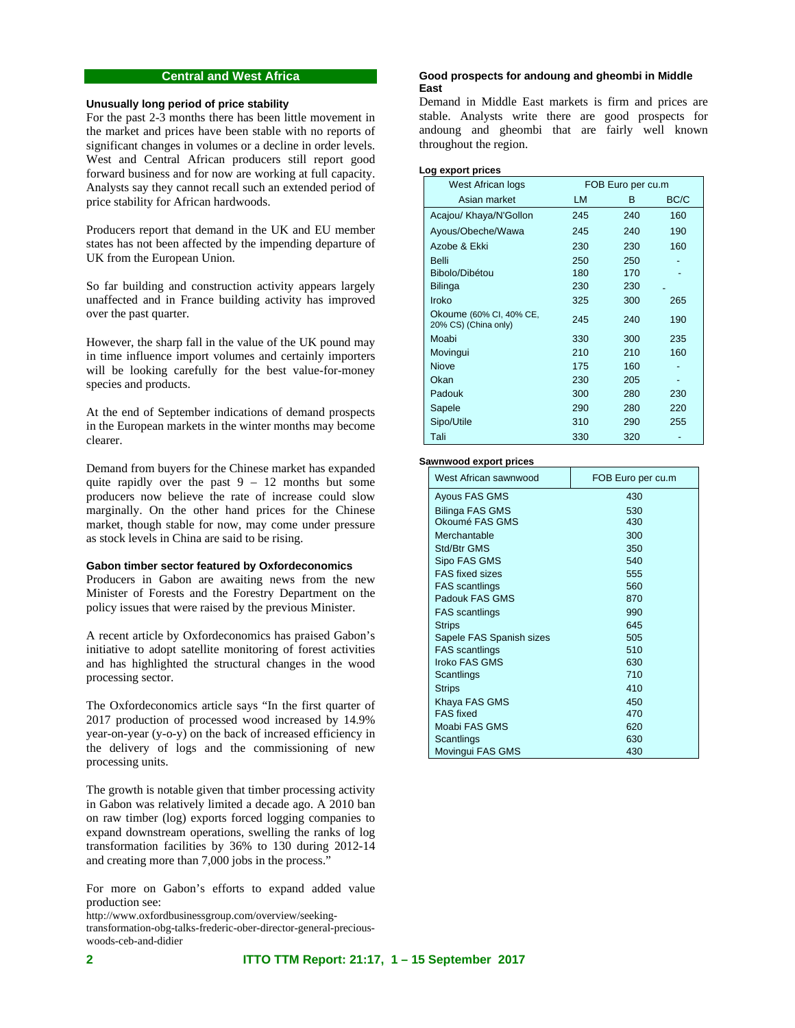# **Central and West Africa**

### **Unusually long period of price stability**

For the past 2-3 months there has been little movement in the market and prices have been stable with no reports of significant changes in volumes or a decline in order levels. West and Central African producers still report good forward business and for now are working at full capacity. Analysts say they cannot recall such an extended period of price stability for African hardwoods.

Producers report that demand in the UK and EU member states has not been affected by the impending departure of UK from the European Union.

So far building and construction activity appears largely unaffected and in France building activity has improved over the past quarter.

However, the sharp fall in the value of the UK pound may in time influence import volumes and certainly importers will be looking carefully for the best value-for-money species and products.

At the end of September indications of demand prospects in the European markets in the winter months may become clearer.

Demand from buyers for the Chinese market has expanded quite rapidly over the past  $9 - 12$  months but some producers now believe the rate of increase could slow marginally. On the other hand prices for the Chinese market, though stable for now, may come under pressure as stock levels in China are said to be rising.

### **Gabon timber sector featured by Oxfordeconomics**

Producers in Gabon are awaiting news from the new Minister of Forests and the Forestry Department on the policy issues that were raised by the previous Minister.

A recent article by Oxfordeconomics has praised Gabon's initiative to adopt satellite monitoring of forest activities and has highlighted the structural changes in the wood processing sector.

The Oxfordeconomics article says "In the first quarter of 2017 production of processed wood increased by 14.9% year-on-year (y-o-y) on the back of increased efficiency in the delivery of logs and the commissioning of new processing units.

The growth is notable given that timber processing activity in Gabon was relatively limited a decade ago. A 2010 ban on raw timber (log) exports forced logging companies to expand downstream operations, swelling the ranks of log transformation facilities by 36% to 130 during 2012-14 and creating more than 7,000 jobs in the process."

For more on Gabon's efforts to expand added value production see:

http://www.oxfordbusinessgroup.com/overview/seekingtransformation-obg-talks-frederic-ober-director-general-preciouswoods-ceb-and-didier

# **Good prospects for andoung and gheombi in Middle East**

Demand in Middle East markets is firm and prices are stable. Analysts write there are good prospects for andoung and gheombi that are fairly well known throughout the region.

#### **Log export prices**

| West African logs                               |     | FOB Euro per cu.m |      |
|-------------------------------------------------|-----|-------------------|------|
| Asian market                                    | LM  | в                 | BC/C |
| Acajou/ Khaya/N'Gollon                          | 245 | 240               | 160  |
| Ayous/Obeche/Wawa                               | 245 | 240               | 190  |
| Azobe & Ekki                                    | 230 | 230               | 160  |
| <b>Belli</b>                                    | 250 | 250               |      |
| Bibolo/Dibétou                                  | 180 | 170               |      |
| <b>Bilinga</b>                                  | 230 | 230               |      |
| Iroko                                           | 325 | 300               | 265  |
| Okoume (60% CI, 40% CE,<br>20% CS) (China only) | 245 | 240               | 190  |
| Moabi                                           | 330 | 300               | 235  |
| Movingui                                        | 210 | 210               | 160  |
| Niove                                           | 175 | 160               |      |
| Okan                                            | 230 | 205               |      |
| Padouk                                          | 300 | 280               | 230  |
| Sapele                                          | 290 | 280               | 220  |
| Sipo/Utile                                      | 310 | 290               | 255  |
| Tali                                            | 330 | 320               |      |

#### **Sawnwood export prices**

| West African sawnwood    | FOB Euro per cu.m |
|--------------------------|-------------------|
| Ayous FAS GMS            | 430               |
| <b>Bilinga FAS GMS</b>   | 530               |
| Okoumé FAS GMS           | 430               |
| Merchantable             | 300               |
| Std/Btr GMS              | 350               |
| Sipo FAS GMS             | 540               |
| <b>FAS</b> fixed sizes   | 555               |
| <b>FAS</b> scantlings    | 560               |
| Padouk FAS GMS           | 870               |
| <b>FAS</b> scantlings    | 990               |
| <b>Strips</b>            | 645               |
| Sapele FAS Spanish sizes | 505               |
| <b>FAS</b> scantlings    | 510               |
| Iroko FAS GMS            | 630               |
| Scantlings               | 710               |
| <b>Strips</b>            | 410               |
| Khaya FAS GMS            | 450               |
| <b>FAS</b> fixed         | 470               |
| Moabi FAS GMS            | 620               |
| Scantlings               | 630               |
| Movingui FAS GMS         | 430               |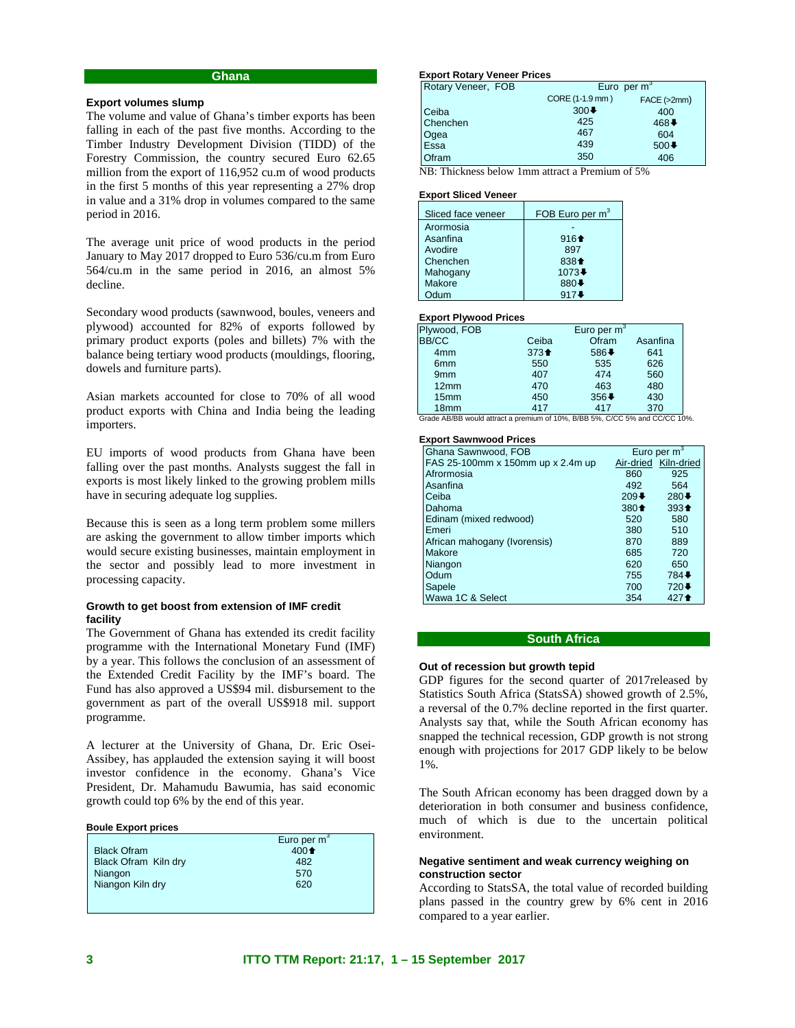# **Ghana**

#### **Export volumes slump**

The volume and value of Ghana's timber exports has been falling in each of the past five months. According to the Timber Industry Development Division (TIDD) of the Forestry Commission, the country secured Euro 62.65 million from the export of 116,952 cu.m of wood products in the first 5 months of this year representing a 27% drop in value and a 31% drop in volumes compared to the same period in 2016.

The average unit price of wood products in the period January to May 2017 dropped to Euro 536/cu.m from Euro 564/cu.m in the same period in 2016, an almost 5% decline.

Secondary wood products (sawnwood, boules, veneers and plywood) accounted for 82% of exports followed by primary product exports (poles and billets) 7% with the balance being tertiary wood products (mouldings, flooring, dowels and furniture parts).

Asian markets accounted for close to 70% of all wood product exports with China and India being the leading importers.

EU imports of wood products from Ghana have been falling over the past months. Analysts suggest the fall in exports is most likely linked to the growing problem mills have in securing adequate log supplies.

Because this is seen as a long term problem some millers are asking the government to allow timber imports which would secure existing businesses, maintain employment in the sector and possibly lead to more investment in processing capacity.

### **Growth to get boost from extension of IMF credit facility**

The Government of Ghana has extended its credit facility programme with the International Monetary Fund (IMF) by a year. This follows the conclusion of an assessment of the Extended Credit Facility by the IMF's board. The Fund has also approved a US\$94 mil. disbursement to the government as part of the overall US\$918 mil. support programme.

A lecturer at the University of Ghana, Dr. Eric Osei-Assibey, has applauded the extension saying it will boost investor confidence in the economy. Ghana's Vice President, Dr. Mahamudu Bawumia, has said economic growth could top 6% by the end of this year.

#### **Boule Export prices**

|                      | Euro per $m^3$                         |
|----------------------|----------------------------------------|
| <b>Black Ofram</b>   | 400 <sup><math>\triangleq</math></sup> |
| Black Ofram Kiln dry | 482                                    |
| Niangon              | 570                                    |
| Niangon Kiln dry     | 620                                    |
|                      |                                        |
|                      |                                        |

### **Export Rotary Veneer Prices**

| Rotary Veneer, FOB | Euro per $\overline{m}^3$ |             |
|--------------------|---------------------------|-------------|
|                    | CORE (1-1.9 mm)           | FACE (>2mm) |
| Ceiba              | $300+$                    | 400         |
| Chenchen           | 425                       | 468↓        |
| Ogea               | 467                       | 604         |
| Essa               | 439                       | $500+$      |
| <b>Ofram</b>       | 350                       | 406         |

NB: Thickness below 1mm attract a Premium of 5%

#### **Export Sliced Veneer**

| Sliced face veneer | FOB Euro per m <sup>3</sup>           |
|--------------------|---------------------------------------|
| Arormosia          |                                       |
| Asanfina           | $916 +$                               |
| Avodire            | 897                                   |
| Chenchen           | 838 <sup><math>\triangle</math></sup> |
| Mahogany           | 1073↓                                 |
| Makore             | 880↓                                  |
| <b>Idum</b>        | 917L                                  |

#### **Export Plywood Prices**

| Plywood, FOB     |                            | Euro per $m^3$ |     |
|------------------|----------------------------|----------------|-----|
| <b>BB/CC</b>     | Ofram<br>Ceiba<br>Asanfina |                |     |
| 4 <sub>mm</sub>  | $373 +$                    | 586↓           | 641 |
| 6 <sub>mm</sub>  | 550                        | 535            | 626 |
| 9 <sub>mm</sub>  | 407                        | 474            | 560 |
| 12mm             | 470                        | 463            | 480 |
| 15 <sub>mm</sub> | 450                        | $356 +$        | 430 |
| 18 <sub>mm</sub> | 417                        | 417            | 370 |

Grade AB/BB would attract a premium of 10%, B/BB 5%, C/CC 5% and CC/CC 10%.

#### **Export Sawnwood Prices**

| Ghana Sawnwood, FOB               |         | Euro per $m3$        |
|-----------------------------------|---------|----------------------|
| FAS 25-100mm x 150mm up x 2.4m up |         | Air-dried Kiln-dried |
| Afrormosia                        | 860     | 925                  |
| Asanfina                          | 492     | 564                  |
| Ceiba                             | $209 +$ | $280+$               |
| Dahoma                            | $380 +$ | $393 +$              |
| Edinam (mixed redwood)            | 520     | 580                  |
| Emeri                             | 380     | 510                  |
| African mahogany (Ivorensis)      | 870     | 889                  |
| Makore                            | 685     | 720                  |
| Niangon                           | 620     | 650                  |
| Odum                              | 755     | 784↓                 |
| Sapele                            | 700     | 720↓                 |
| Wawa 1C & Select                  | 354     | 427 <sup>+</sup>     |

#### **South Africa**

#### **Out of recession but growth tepid**

GDP figures for the second quarter of 2017released by Statistics South Africa (StatsSA) showed growth of 2.5%, a reversal of the 0.7% decline reported in the first quarter. Analysts say that, while the South African economy has snapped the technical recession, GDP growth is not strong enough with projections for 2017 GDP likely to be below 1%.

The South African economy has been dragged down by a deterioration in both consumer and business confidence, much of which is due to the uncertain political environment.

#### **Negative sentiment and weak currency weighing on construction sector**

According to StatsSA, the total value of recorded building plans passed in the country grew by 6% cent in 2016 compared to a year earlier.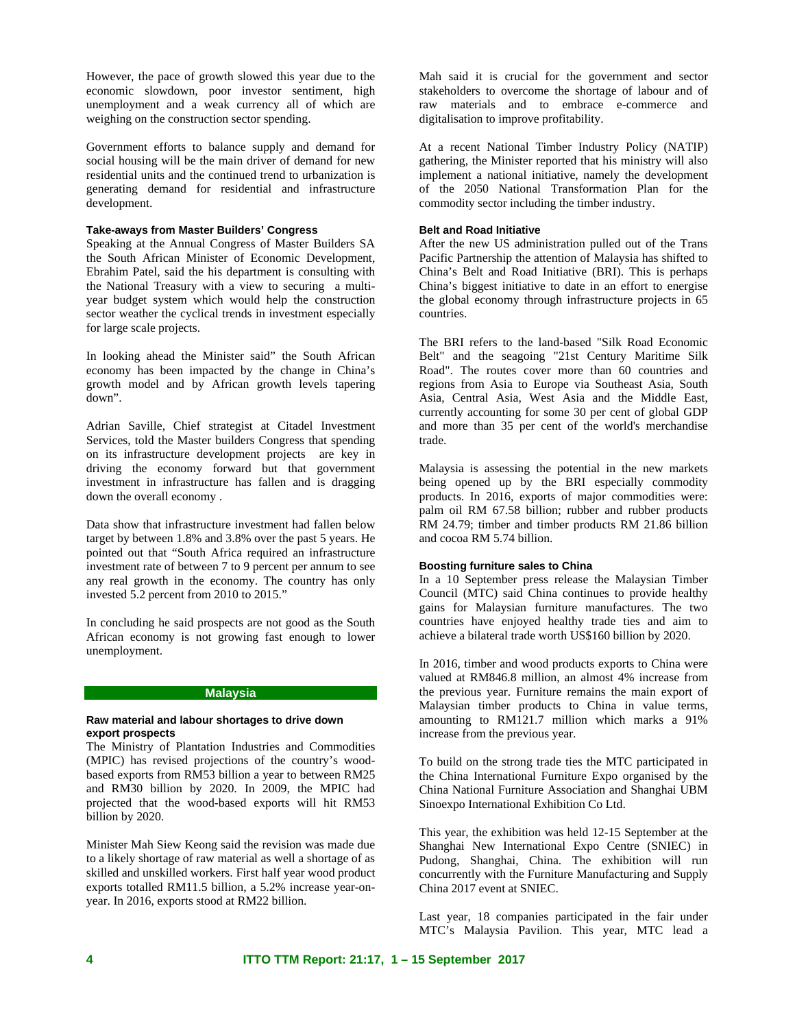However, the pace of growth slowed this year due to the economic slowdown, poor investor sentiment, high unemployment and a weak currency all of which are weighing on the construction sector spending.

Government efforts to balance supply and demand for social housing will be the main driver of demand for new residential units and the continued trend to urbanization is generating demand for residential and infrastructure development.

#### **Take-aways from Master Builders' Congress**

Speaking at the Annual Congress of Master Builders SA the South African Minister of Economic Development, Ebrahim Patel, said the his department is consulting with the National Treasury with a view to securing a multiyear budget system which would help the construction sector weather the cyclical trends in investment especially for large scale projects.

In looking ahead the Minister said" the South African economy has been impacted by the change in China's growth model and by African growth levels tapering down".

Adrian Saville, Chief strategist at Citadel Investment Services, told the Master builders Congress that spending on its infrastructure development projects are key in driving the economy forward but that government investment in infrastructure has fallen and is dragging down the overall economy .

Data show that infrastructure investment had fallen below target by between 1.8% and 3.8% over the past 5 years. He pointed out that "South Africa required an infrastructure investment rate of between 7 to 9 percent per annum to see any real growth in the economy. The country has only invested 5.2 percent from 2010 to 2015."

In concluding he said prospects are not good as the South African economy is not growing fast enough to lower unemployment.

## **Malaysia**

#### **Raw material and labour shortages to drive down export prospects**

The Ministry of Plantation Industries and Commodities (MPIC) has revised projections of the country's woodbased exports from RM53 billion a year to between RM25 and RM30 billion by 2020. In 2009, the MPIC had projected that the wood-based exports will hit RM53 billion by 2020.

Minister Mah Siew Keong said the revision was made due to a likely shortage of raw material as well a shortage of as skilled and unskilled workers. First half year wood product exports totalled RM11.5 billion, a 5.2% increase year-onyear. In 2016, exports stood at RM22 billion.

Mah said it is crucial for the government and sector stakeholders to overcome the shortage of labour and of raw materials and to embrace e-commerce and digitalisation to improve profitability.

At a recent National Timber Industry Policy (NATIP) gathering, the Minister reported that his ministry will also implement a national initiative, namely the development of the 2050 National Transformation Plan for the commodity sector including the timber industry.

#### **Belt and Road Initiative**

After the new US administration pulled out of the Trans Pacific Partnership the attention of Malaysia has shifted to China's Belt and Road Initiative (BRI). This is perhaps China's biggest initiative to date in an effort to energise the global economy through infrastructure projects in 65 countries.

The BRI refers to the land-based "Silk Road Economic Belt" and the seagoing "21st Century Maritime Silk Road". The routes cover more than 60 countries and regions from Asia to Europe via Southeast Asia, South Asia, Central Asia, West Asia and the Middle East, currently accounting for some 30 per cent of global GDP and more than 35 per cent of the world's merchandise trade.

Malaysia is assessing the potential in the new markets being opened up by the BRI especially commodity products. In 2016, exports of major commodities were: palm oil RM 67.58 billion; rubber and rubber products RM 24.79; timber and timber products RM 21.86 billion and cocoa RM 5.74 billion.

#### **Boosting furniture sales to China**

In a 10 September press release the Malaysian Timber Council (MTC) said China continues to provide healthy gains for Malaysian furniture manufactures. The two countries have enjoyed healthy trade ties and aim to achieve a bilateral trade worth US\$160 billion by 2020.

In 2016, timber and wood products exports to China were valued at RM846.8 million, an almost 4% increase from the previous year. Furniture remains the main export of Malaysian timber products to China in value terms, amounting to RM121.7 million which marks a 91% increase from the previous year.

To build on the strong trade ties the MTC participated in the China International Furniture Expo organised by the China National Furniture Association and Shanghai UBM Sinoexpo International Exhibition Co Ltd.

This year, the exhibition was held 12-15 September at the Shanghai New International Expo Centre (SNIEC) in Pudong, Shanghai, China. The exhibition will run concurrently with the Furniture Manufacturing and Supply China 2017 event at SNIEC.

Last year, 18 companies participated in the fair under MTC's Malaysia Pavilion. This year, MTC lead a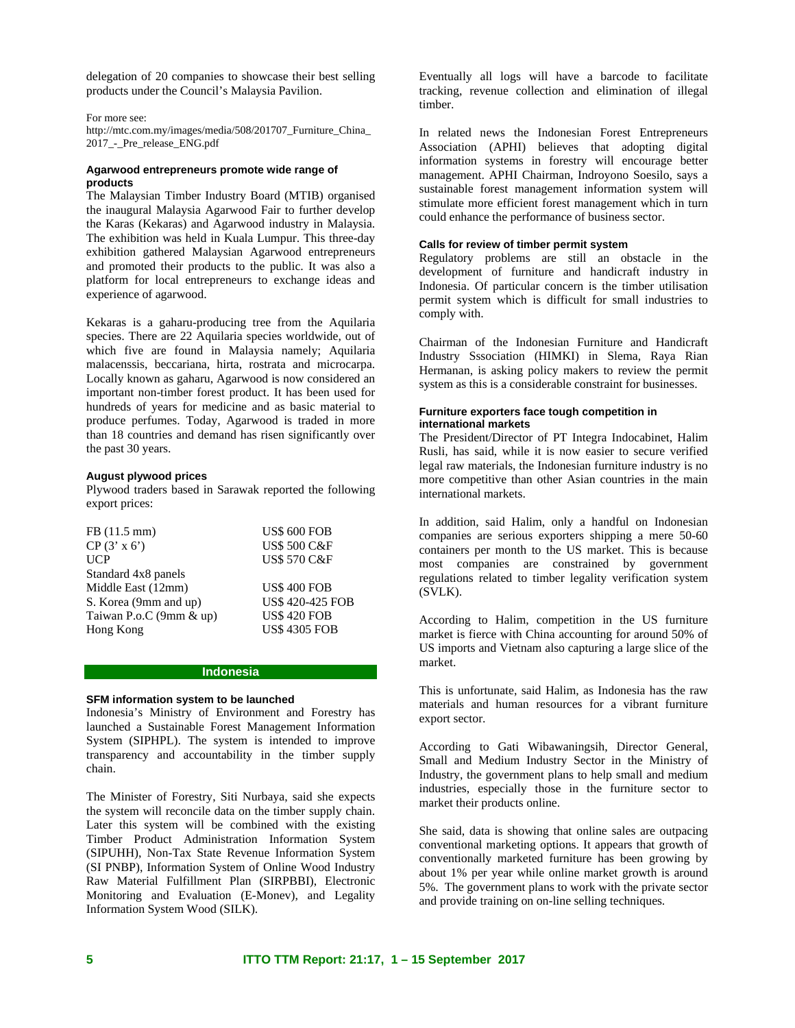delegation of 20 companies to showcase their best selling products under the Council's Malaysia Pavilion.

For more see:

http://mtc.com.my/images/media/508/201707\_Furniture\_China\_ 2017\_-\_Pre\_release\_ENG.pdf

### **Agarwood entrepreneurs promote wide range of products**

The Malaysian Timber Industry Board (MTIB) organised the inaugural Malaysia Agarwood Fair to further develop the Karas (Kekaras) and Agarwood industry in Malaysia. The exhibition was held in Kuala Lumpur. This three-day exhibition gathered Malaysian Agarwood entrepreneurs and promoted their products to the public. It was also a platform for local entrepreneurs to exchange ideas and experience of agarwood.

Kekaras is a gaharu-producing tree from the Aquilaria species. There are 22 Aquilaria species worldwide, out of which five are found in Malaysia namely; Aquilaria malacenssis, beccariana, hirta, rostrata and microcarpa. Locally known as gaharu, Agarwood is now considered an important non-timber forest product. It has been used for hundreds of years for medicine and as basic material to produce perfumes. Today, Agarwood is traded in more than 18 countries and demand has risen significantly over the past 30 years.

### **August plywood prices**

Plywood traders based in Sarawak reported the following export prices:

| FB (11.5 mm)            | <b>US\$ 600 FOB</b>     |
|-------------------------|-------------------------|
| $CP(3' \times 6')$      | <b>US\$ 500 C&amp;F</b> |
| <b>UCP</b>              | <b>US\$ 570 C&amp;F</b> |
| Standard 4x8 panels     |                         |
| Middle East (12mm)      | <b>US\$ 400 FOB</b>     |
| S. Korea (9mm and up)   | <b>US\$ 420-425 FOB</b> |
| Taiwan P.o.C (9mm & up) | <b>US\$ 420 FOB</b>     |
| Hong Kong               | <b>US\$ 4305 FOB</b>    |

## **Indonesia**

#### **SFM information system to be launched**

Indonesia's Ministry of Environment and Forestry has launched a Sustainable Forest Management Information System (SIPHPL). The system is intended to improve transparency and accountability in the timber supply chain.

The Minister of Forestry, Siti Nurbaya, said she expects the system will reconcile data on the timber supply chain. Later this system will be combined with the existing Timber Product Administration Information System (SIPUHH), Non-Tax State Revenue Information System (SI PNBP), Information System of Online Wood Industry Raw Material Fulfillment Plan (SIRPBBI), Electronic Monitoring and Evaluation (E-Monev), and Legality Information System Wood (SILK).

Eventually all logs will have a barcode to facilitate tracking, revenue collection and elimination of illegal timber.

In related news the Indonesian Forest Entrepreneurs Association (APHI) believes that adopting digital information systems in forestry will encourage better management. APHI Chairman, Indroyono Soesilo, says a sustainable forest management information system will stimulate more efficient forest management which in turn could enhance the performance of business sector.

# **Calls for review of timber permit system**

Regulatory problems are still an obstacle in the development of furniture and handicraft industry in Indonesia. Of particular concern is the timber utilisation permit system which is difficult for small industries to comply with.

Chairman of the Indonesian Furniture and Handicraft Industry Sssociation (HIMKI) in Slema, Raya Rian Hermanan, is asking policy makers to review the permit system as this is a considerable constraint for businesses.

#### **Furniture exporters face tough competition in international markets**

The President/Director of PT Integra Indocabinet, Halim Rusli, has said, while it is now easier to secure verified legal raw materials, the Indonesian furniture industry is no more competitive than other Asian countries in the main international markets.

In addition, said Halim, only a handful on Indonesian companies are serious exporters shipping a mere 50-60 containers per month to the US market. This is because most companies are constrained by government regulations related to timber legality verification system (SVLK).

According to Halim, competition in the US furniture market is fierce with China accounting for around 50% of US imports and Vietnam also capturing a large slice of the market.

This is unfortunate, said Halim, as Indonesia has the raw materials and human resources for a vibrant furniture export sector.

According to Gati Wibawaningsih, Director General, Small and Medium Industry Sector in the Ministry of Industry, the government plans to help small and medium industries, especially those in the furniture sector to market their products online.

She said, data is showing that online sales are outpacing conventional marketing options. It appears that growth of conventionally marketed furniture has been growing by about 1% per year while online market growth is around 5%. The government plans to work with the private sector and provide training on on-line selling techniques.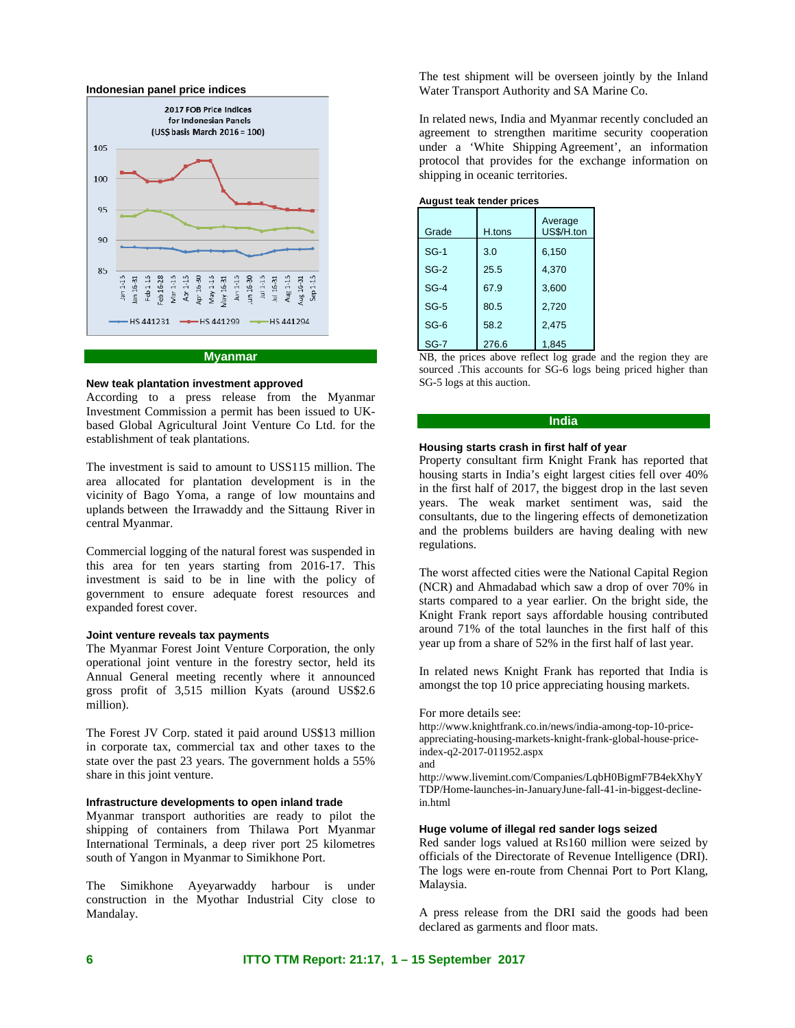

#### **Myanmar**

### **New teak plantation investment approved**

According to a press release from the Myanmar Investment Commission a permit has been issued to UKbased Global Agricultural Joint Venture Co Ltd. for the establishment of teak plantations.

The investment is said to amount to USS115 million. The area allocated for plantation development is in the vicinity of Bago Yoma, a range of low mountains and uplands between the Irrawaddy and the Sittaung River in central Myanmar.

Commercial logging of the natural forest was suspended in this area for ten years starting from 2016-17. This investment is said to be in line with the policy of government to ensure adequate forest resources and expanded forest cover.

#### **Joint venture reveals tax payments**

The Myanmar Forest Joint Venture Corporation, the only operational joint venture in the forestry sector, held its Annual General meeting recently where it announced gross profit of 3,515 million Kyats (around US\$2.6 million).

The Forest JV Corp. stated it paid around US\$13 million in corporate tax, commercial tax and other taxes to the state over the past 23 years. The government holds a 55% share in this joint venture.

## **Infrastructure developments to open inland trade**

Myanmar transport authorities are ready to pilot the shipping of containers from Thilawa Port Myanmar International Terminals, a deep river port 25 kilometres south of Yangon in Myanmar to Simikhone Port.

The Simikhone Ayeyarwaddy harbour is under construction in the Myothar Industrial City close to Mandalay.

The test shipment will be overseen jointly by the Inland Water Transport Authority and SA Marine Co.

In related news, India and Myanmar recently concluded an agreement to strengthen maritime security cooperation under a 'White Shipping Agreement', an information protocol that provides for the exchange information on shipping in oceanic territories.

#### **August teak tender prices**

| Grade  | H.tons | Average<br>US\$/H.ton |
|--------|--------|-----------------------|
| $SG-1$ | 3.0    | 6,150                 |
| $SG-2$ | 25.5   | 4,370                 |
| $SG-4$ | 67.9   | 3,600                 |
| $SG-5$ | 80.5   | 2,720                 |
| $SG-6$ | 58.2   | 2,475                 |
| $SG-7$ | 276.6  | 1,845                 |

NB, the prices above reflect log grade and the region they are sourced .This accounts for SG-6 logs being priced higher than SG-5 logs at this auction.

# **India**

#### **Housing starts crash in first half of year**

Property consultant firm Knight Frank has reported that housing starts in India's eight largest cities fell over 40% in the first half of 2017, the biggest drop in the last seven years. The weak market sentiment was, said the consultants, due to the lingering effects of demonetization and the problems builders are having dealing with new regulations.

The worst affected cities were the National Capital Region (NCR) and Ahmadabad which saw a drop of over 70% in starts compared to a year earlier. On the bright side, the Knight Frank report says affordable housing contributed around 71% of the total launches in the first half of this year up from a share of 52% in the first half of last year.

In related news Knight Frank has reported that India is amongst the top 10 price appreciating housing markets.

#### For more details see:

http://www.knightfrank.co.in/news/india-among-top-10-priceappreciating-housing-markets-knight-frank-global-house-priceindex-q2-2017-011952.aspx and

http://www.livemint.com/Companies/LqbH0BigmF7B4ekXhyY TDP/Home-launches-in-JanuaryJune-fall-41-in-biggest-declinein.html

### **Huge volume of illegal red sander logs seized**

Red sander logs valued at Rs160 million were seized by officials of the Directorate of Revenue Intelligence (DRI). The logs were en-route from Chennai Port to Port Klang, Malaysia.

A press release from the DRI said the goods had been declared as garments and floor mats.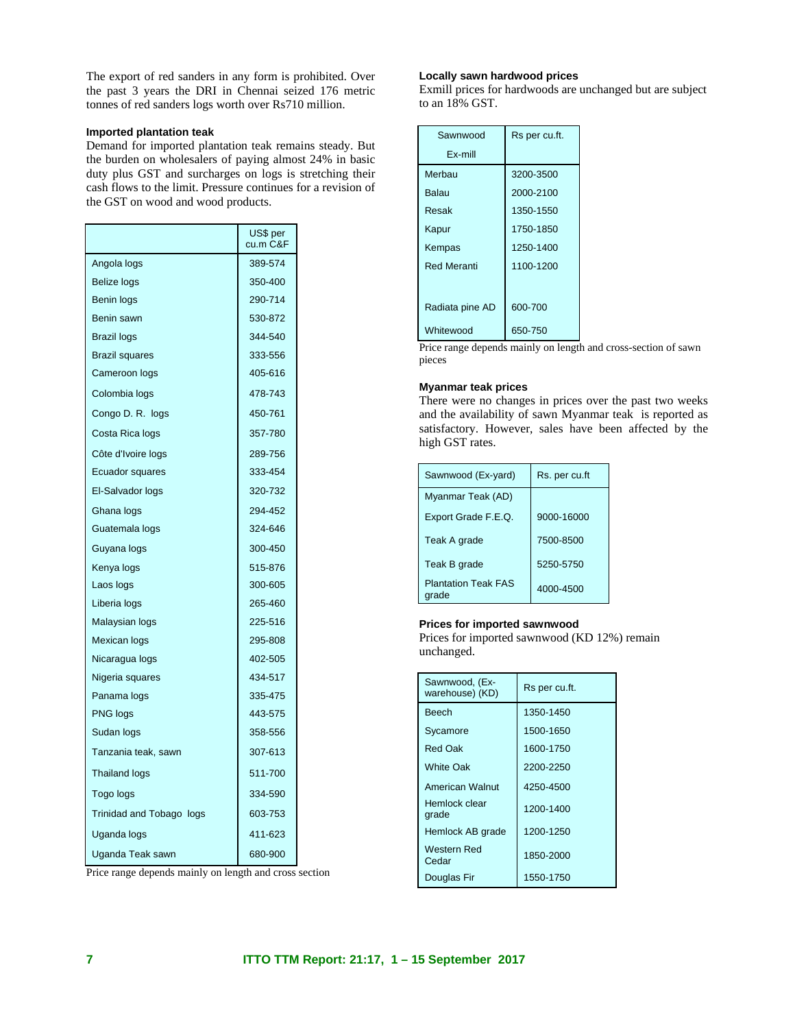The export of red sanders in any form is prohibited. Over the past 3 years the DRI in Chennai seized 176 metric tonnes of red sanders logs worth over Rs710 million.

### **Imported plantation teak**

Demand for imported plantation teak remains steady. But the burden on wholesalers of paying almost 24% in basic duty plus GST and surcharges on logs is stretching their cash flows to the limit. Pressure continues for a revision of the GST on wood and wood products.

|                          | US\$ per<br>cu.m C&F |
|--------------------------|----------------------|
| Angola logs              | 389-574              |
| <b>Belize logs</b>       | 350-400              |
| Benin logs               | 290-714              |
| Benin sawn               | 530-872              |
| <b>Brazil logs</b>       | 344-540              |
| <b>Brazil squares</b>    | 333-556              |
| Cameroon logs            | 405-616              |
| Colombia logs            | 478-743              |
| Congo D. R. logs         | 450-761              |
| Costa Rica logs          | 357-780              |
| Côte d'Ivoire logs       | 289-756              |
| Ecuador squares          | 333-454              |
| El-Salvador logs         | 320-732              |
| Ghana logs               | 294-452              |
| Guatemala logs           | 324-646              |
| Guyana logs              | 300-450              |
| Kenya logs               | 515-876              |
| Laos logs                | 300-605              |
| Liberia logs             | 265-460              |
| Malaysian logs           | 225-516              |
| Mexican logs             | 295-808              |
| Nicaragua logs           | 402-505              |
| Nigeria squares          | 434-517              |
| Panama logs              | 335-475              |
| <b>PNG logs</b>          | 443-575              |
| Sudan logs               | 358-556              |
| Tanzania teak, sawn      | 307-613              |
| <b>Thailand logs</b>     | 511-700              |
| Togo logs                | 334-590              |
| Trinidad and Tobago logs | 603-753              |
| Uganda logs              | 411-623              |
| Uganda Teak sawn         | 680-900              |

#### **Locally sawn hardwood prices**

Exmill prices for hardwoods are unchanged but are subject to an 18% GST.

| Sawnwood           | Rs per cu.ft. |
|--------------------|---------------|
| Ex-mill            |               |
| Merhau             | 3200-3500     |
| <b>Balau</b>       | 2000-2100     |
| Resak              | 1350-1550     |
| Kapur              | 1750-1850     |
| Kempas             | 1250-1400     |
| <b>Red Meranti</b> | 1100-1200     |
|                    |               |
| Radiata pine AD    | 600-700       |
| Whitewood          | 650-750       |

Price range depends mainly on length and cross-section of sawn pieces

### **Myanmar teak prices**

There were no changes in prices over the past two weeks and the availability of sawn Myanmar teak is reported as satisfactory. However, sales have been affected by the high GST rates.

| Sawnwood (Ex-yard)                  | Rs. per cu.ft |
|-------------------------------------|---------------|
| Myanmar Teak (AD)                   |               |
| Export Grade F.E.Q.                 | 9000-16000    |
| Teak A grade                        | 7500-8500     |
| Teak B grade                        | 5250-5750     |
| <b>Plantation Teak FAS</b><br>arade | 4000-4500     |

#### **Prices for imported sawnwood**

Prices for imported sawnwood (KD 12%) remain unchanged.

| Sawnwood, (Ex-<br>warehouse) (KD) | Rs per cu.ft. |
|-----------------------------------|---------------|
| <b>Beech</b>                      | 1350-1450     |
| Sycamore                          | 1500-1650     |
| Red Oak                           | 1600-1750     |
| <b>White Oak</b>                  | 2200-2250     |
| <b>American Walnut</b>            | 4250-4500     |
| Hemlock clear<br>grade            | 1200-1400     |
| Hemlock AB grade                  | 1200-1250     |
| Western Red<br>Cedar              | 1850-2000     |
| Douglas Fir                       | 1550-1750     |

Price range depends mainly on length and cross section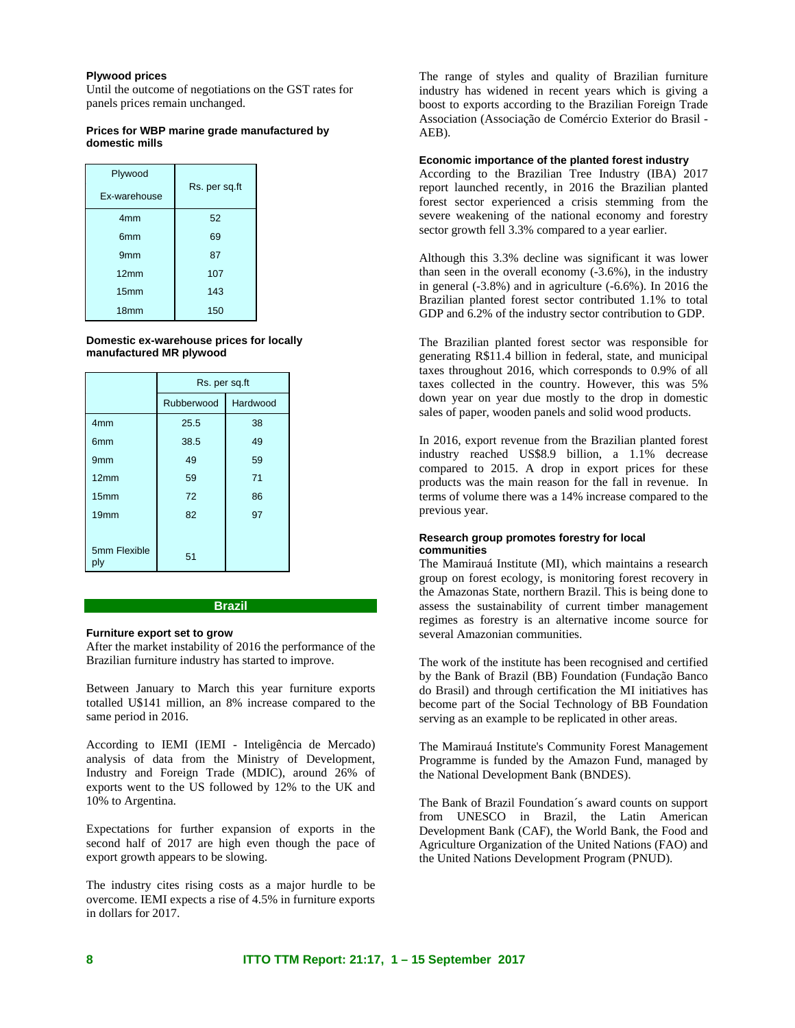#### **Plywood prices**

Until the outcome of negotiations on the GST rates for panels prices remain unchanged.

### **Prices for WBP marine grade manufactured by domestic mills**

| Plywood<br>Ex-warehouse | Rs. per sq.ft |
|-------------------------|---------------|
| 4 <sub>mm</sub>         | 52            |
| 6 <sub>mm</sub>         | 69            |
| 9 <sub>mm</sub>         | 87            |
| 12mm                    | 107           |
| 15mm                    | 143           |
| 18 <sub>mm</sub>        | 150           |

**Domestic ex-warehouse prices for locally manufactured MR plywood** 

|                     | Rs. per sq.ft |          |
|---------------------|---------------|----------|
|                     | Rubberwood    | Hardwood |
| 4 <sub>mm</sub>     | 25.5          | 38       |
| 6 <sub>mm</sub>     | 38.5          | 49       |
| 9 <sub>mm</sub>     | 49            | 59       |
| 12mm                | 59            | 71       |
| 15mm                | 72            | 86       |
| 19 <sub>mm</sub>    | 82            | 97       |
|                     |               |          |
| 5mm Flexible<br>ply | 51            |          |

### **Brazil**

#### **Furniture export set to grow**

After the market instability of 2016 the performance of the Brazilian furniture industry has started to improve.

Between January to March this year furniture exports totalled U\$141 million, an 8% increase compared to the same period in 2016.

According to IEMI (IEMI - Inteligência de Mercado) analysis of data from the Ministry of Development, Industry and Foreign Trade (MDIC), around 26% of exports went to the US followed by 12% to the UK and 10% to Argentina.

Expectations for further expansion of exports in the second half of 2017 are high even though the pace of export growth appears to be slowing.

The industry cites rising costs as a major hurdle to be overcome. IEMI expects a rise of 4.5% in furniture exports in dollars for 2017.

The range of styles and quality of Brazilian furniture industry has widened in recent years which is giving a boost to exports according to the Brazilian Foreign Trade Association (Associação de Comércio Exterior do Brasil - AEB).

### **Economic importance of the planted forest industry**

According to the Brazilian Tree Industry (IBA) 2017 report launched recently, in 2016 the Brazilian planted forest sector experienced a crisis stemming from the severe weakening of the national economy and forestry sector growth fell 3.3% compared to a year earlier.

Although this 3.3% decline was significant it was lower than seen in the overall economy (-3.6%), in the industry in general (-3.8%) and in agriculture (-6.6%). In 2016 the Brazilian planted forest sector contributed 1.1% to total GDP and 6.2% of the industry sector contribution to GDP.

The Brazilian planted forest sector was responsible for generating R\$11.4 billion in federal, state, and municipal taxes throughout 2016, which corresponds to 0.9% of all taxes collected in the country. However, this was 5% down year on year due mostly to the drop in domestic sales of paper, wooden panels and solid wood products.

In 2016, export revenue from the Brazilian planted forest industry reached US\$8.9 billion, a 1.1% decrease compared to 2015. A drop in export prices for these products was the main reason for the fall in revenue. In terms of volume there was a 14% increase compared to the previous year.

#### **Research group promotes forestry for local communities**

The Mamirauá Institute (MI), which maintains a research group on forest ecology, is monitoring forest recovery in the Amazonas State, northern Brazil. This is being done to assess the sustainability of current timber management regimes as forestry is an alternative income source for several Amazonian communities.

The work of the institute has been recognised and certified by the Bank of Brazil (BB) Foundation (Fundação Banco do Brasil) and through certification the MI initiatives has become part of the Social Technology of BB Foundation serving as an example to be replicated in other areas.

The Mamirauá Institute's Community Forest Management Programme is funded by the Amazon Fund, managed by the National Development Bank (BNDES).

The Bank of Brazil Foundation´s award counts on support from UNESCO in Brazil, the Latin American Development Bank (CAF), the World Bank, the Food and Agriculture Organization of the United Nations (FAO) and the United Nations Development Program (PNUD).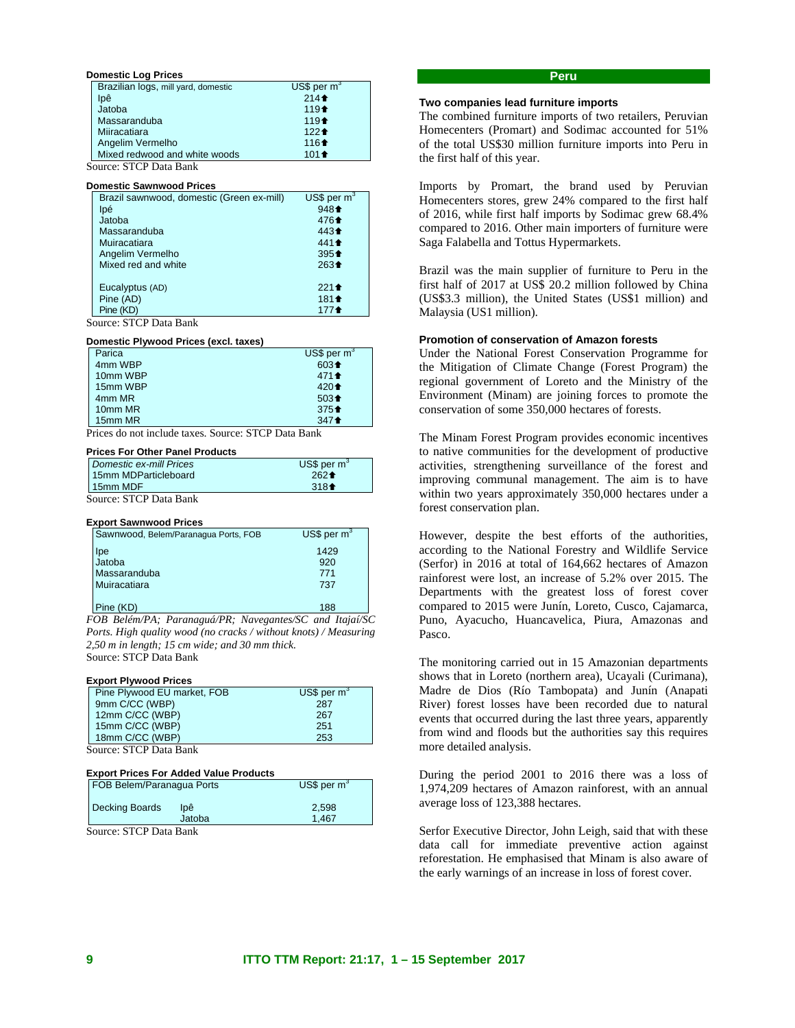#### **Domestic Log Prices**

| Brazilian logs, mill yard, domestic | US\$ per $m3$ |  |  |
|-------------------------------------|---------------|--|--|
| lpê                                 | $214+$        |  |  |
| Jatoba                              | $119 +$       |  |  |
| Massaranduba                        | $119 +$       |  |  |
| Miiracatiara                        | $122 +$       |  |  |
| Angelim Vermelho                    | $116 +$       |  |  |
| Mixed redwood and white woods       | $101 +$       |  |  |
| Source: STCP Data Bank              |               |  |  |

#### **Domestic Sawnwood Prices**

| Brazil sawnwood, domestic (Green ex-mill) | US\$ per $m3$    |  |
|-------------------------------------------|------------------|--|
| lpé                                       | $948 +$          |  |
| Jatoba                                    | 4764             |  |
| Massaranduba                              | 443 <sup>+</sup> |  |
| Muiracatiara                              | 4414             |  |
| Angelim Vermelho                          | $395 +$          |  |
| Mixed red and white                       | $263 +$          |  |
|                                           |                  |  |
| Eucalyptus (AD)                           | $221 +$          |  |
| Pine (AD)                                 | $181 +$          |  |
| Pine (KD)                                 | 177 <sup>4</sup> |  |
| n                                         |                  |  |

Source: STCP Data Bank

#### **Domestic Plywood Prices (excl. taxes)**

| Parica   | US\$ per $m^3$  |
|----------|-----------------|
| 4mm WBP  | $603 +$         |
| 10mm WBP | $471 \text{ }$  |
| 15mm WBP | $420 +$         |
| 4mm MR   | $503 +$         |
| 10mm MR  | $375+$          |
| 15mm MR  | $347 \text{ +}$ |

Prices do not include taxes. Source: STCP Data Bank

# **Prices For Other Panel Products**

| Domestic ex-mill Prices | $US$$ per m <sup>3</sup> |
|-------------------------|--------------------------|
| 15mm MDParticleboard    | $262 +$                  |
| 15mm MDF                | $318+$                   |

Source: STCP Data Bank

#### **Export Sawnwood Prices**

| Sawnwood, Belem/Paranagua Ports, FOB | US\$ per $m^3$ |
|--------------------------------------|----------------|
| lpe<br>Jatoba                        | 1429           |
|                                      | 920            |
| Massaranduba                         | 771            |
| Muiracatiara                         | 737            |
| Pine (KD)                            | 188            |

*FOB Belém/PA; Paranaguá/PR; Navegantes/SC and Itajaí/SC Ports. High quality wood (no cracks / without knots) / Measuring 2,50 m in length; 15 cm wide; and 30 mm thick.*  Source: STCP Data Bank

#### **Export Plywood Prices**

| Pine Plywood EU market, FOB | US\$ per $m^3$ |
|-----------------------------|----------------|
| 9mm C/CC (WBP)              | 287            |
| 12mm C/CC (WBP)             | 267            |
| 15mm C/CC (WBP)             | 251            |
| 18mm C/CC (WBP)             | 253            |

Source: STCP Data Bank

#### **Export Prices For Added Value Products**

| FOB Belem/Paranagua Ports |               | US\$ per $m^3$ |
|---------------------------|---------------|----------------|
| Decking Boards            | lpê<br>Jatoba | 2.598<br>1.467 |
|                           |               |                |

Source: STCP Data Bank

#### **Peru**

#### **Two companies lead furniture imports**

The combined furniture imports of two retailers, Peruvian Homecenters (Promart) and Sodimac accounted for 51% of the total US\$30 million furniture imports into Peru in the first half of this year.

Imports by Promart, the brand used by Peruvian Homecenters stores, grew 24% compared to the first half of 2016, while first half imports by Sodimac grew 68.4% compared to 2016. Other main importers of furniture were Saga Falabella and Tottus Hypermarkets.

Brazil was the main supplier of furniture to Peru in the first half of 2017 at US\$ 20.2 million followed by China (US\$3.3 million), the United States (US\$1 million) and Malaysia (US1 million).

#### **Promotion of conservation of Amazon forests**

Under the National Forest Conservation Programme for the Mitigation of Climate Change (Forest Program) the regional government of Loreto and the Ministry of the Environment (Minam) are joining forces to promote the conservation of some 350,000 hectares of forests.

The Minam Forest Program provides economic incentives to native communities for the development of productive activities, strengthening surveillance of the forest and improving communal management. The aim is to have within two years approximately 350,000 hectares under a forest conservation plan.

However, despite the best efforts of the authorities, according to the National Forestry and Wildlife Service (Serfor) in 2016 at total of 164,662 hectares of Amazon rainforest were lost, an increase of 5.2% over 2015. The Departments with the greatest loss of forest cover compared to 2015 were Junín, Loreto, Cusco, Cajamarca, Puno, Ayacucho, Huancavelica, Piura, Amazonas and Pasco.

The monitoring carried out in 15 Amazonian departments shows that in Loreto (northern area), Ucayali (Curimana), Madre de Dios (Río Tambopata) and Junín (Anapati River) forest losses have been recorded due to natural events that occurred during the last three years, apparently from wind and floods but the authorities say this requires more detailed analysis.

During the period 2001 to 2016 there was a loss of 1,974,209 hectares of Amazon rainforest, with an annual average loss of 123,388 hectares.

Serfor Executive Director, John Leigh, said that with these data call for immediate preventive action against reforestation. He emphasised that Minam is also aware of the early warnings of an increase in loss of forest cover.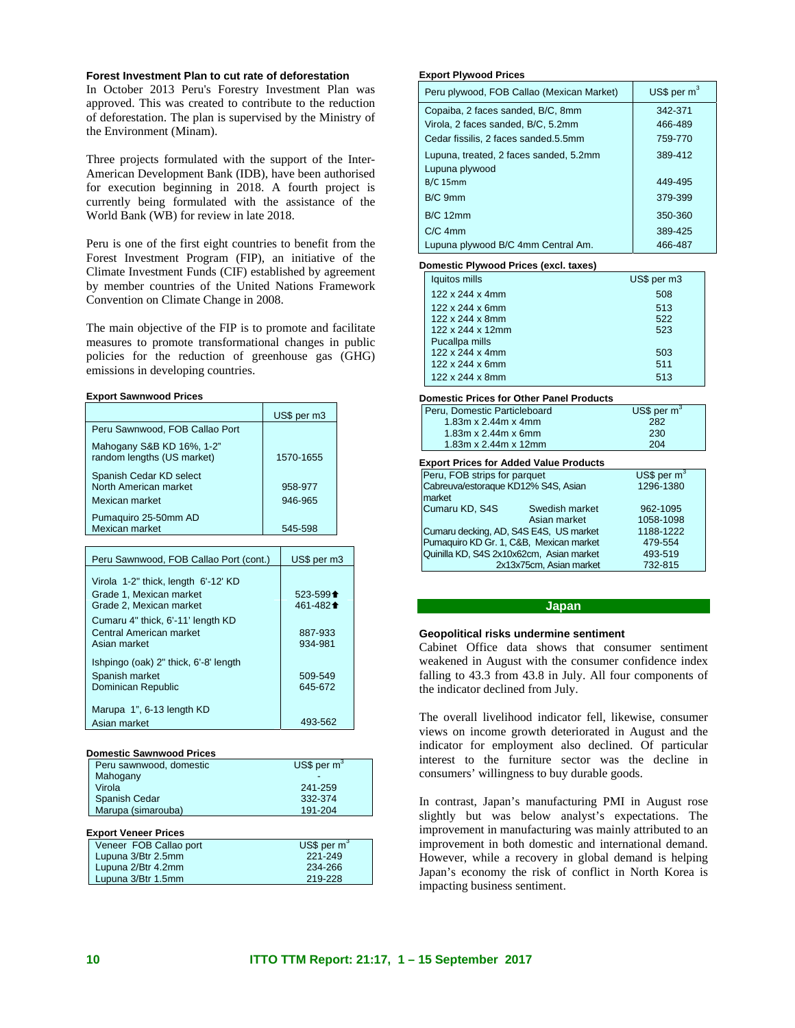#### **Forest Investment Plan to cut rate of deforestation**

In October 2013 Peru's Forestry Investment Plan was approved. This was created to contribute to the reduction of deforestation. The plan is supervised by the Ministry of the Environment (Minam).

Three projects formulated with the support of the Inter-American Development Bank (IDB), have been authorised for execution beginning in 2018. A fourth project is currently being formulated with the assistance of the World Bank (WB) for review in late 2018.

Peru is one of the first eight countries to benefit from the Forest Investment Program (FIP), an initiative of the Climate Investment Funds (CIF) established by agreement by member countries of the United Nations Framework Convention on Climate Change in 2008.

The main objective of the FIP is to promote and facilitate measures to promote transformational changes in public policies for the reduction of greenhouse gas (GHG) emissions in developing countries.

**Export Sawnwood Prices** 

|                                                                    | US\$ per m3        |
|--------------------------------------------------------------------|--------------------|
| Peru Sawnwood, FOB Callao Port                                     |                    |
| Mahogany S&B KD 16%, 1-2"<br>random lengths (US market)            | 1570-1655          |
| Spanish Cedar KD select<br>North American market<br>Mexican market | 958-977<br>946-965 |
| Pumaquiro 25-50mm AD<br>Mexican market                             | 545-598            |

| Peru Sawnwood, FOB Callao Port (cont.)                                                    | US\$ per m3                                                                                  |
|-------------------------------------------------------------------------------------------|----------------------------------------------------------------------------------------------|
| Virola 1-2" thick, length 6'-12' KD<br>Grade 1. Mexican market<br>Grade 2. Mexican market | $523 - 599$ <sup><math>\triangleq</math></sup><br>461-482 <sup><math>\triangleq</math></sup> |
| Cumaru 4" thick, 6'-11' length KD<br>Central American market<br>Asian market              | 887-933<br>934-981                                                                           |
| Ishpingo (oak) 2" thick, 6'-8' length<br>Spanish market<br>Dominican Republic             | 509-549<br>645-672                                                                           |
| Marupa 1", 6-13 length KD<br>Asian market                                                 | 493-562                                                                                      |

#### **Domestic Sawnwood Prices**

| Peru sawnwood, domestic | US\$ per $m^3$ |
|-------------------------|----------------|
| Mahogany                |                |
| Virola                  | 241-259        |
| Spanish Cedar           | 332-374        |
| Marupa (simarouba)      | 191-204        |
|                         |                |

# **Export Veneer Prices**

| Veneer FOB Callao port | US\$ per $m^3$ |
|------------------------|----------------|
| Lupuna 3/Btr 2.5mm     | 221-249        |
| Lupuna 2/Btr 4.2mm     | 234-266        |
| Lupuna 3/Btr 1.5mm     | 219-228        |

#### **Export Plywood Prices**

| Peru plywood, FOB Callao (Mexican Market) | US\$ per $m3$ |  |
|-------------------------------------------|---------------|--|
| Copaiba, 2 faces sanded, B/C, 8mm         | 342-371       |  |
| Virola, 2 faces sanded, B/C, 5.2mm        | 466-489       |  |
| Cedar fissilis, 2 faces sanded.5.5mm      | 759-770       |  |
| Lupuna, treated, 2 faces sanded, 5.2mm    | 389-412       |  |
| Lupuna plywood                            |               |  |
| $B/C$ 15mm                                | 449-495       |  |
| B/C 9mm                                   | 379-399       |  |
| <b>B/C 12mm</b>                           | 350-360       |  |
| $C/C$ 4mm                                 | 389-425       |  |
| Lupuna plywood B/C 4mm Central Am.        | 466-487       |  |

#### **Domestic Plywood Prices (excl. taxes)**

| Iquitos mills                | US\$ per m3 |
|------------------------------|-------------|
| 122 x 244 x 4mm              | 508         |
| 122 x 244 x 6mm              | 513         |
| $122 \times 244 \times 8$ mm | 522         |
| 122 x 244 x 12mm             | 523         |
| Pucallpa mills               |             |
| 122 x 244 x 4mm              | 503         |
| $122 \times 244 \times 6$ mm | 511         |
| 122 x 244 x 8mm              | 513         |
|                              |             |

#### **Domestic Prices for Other Panel Products**

| Peru. Domestic Particleboard | US\$ per $m^3$ |
|------------------------------|----------------|
| 1.83m x $2.44m x 4mm$        | 282            |
| 1.83m x $2.44m$ x 6mm        | 230            |
| 1.83m x 2.44m x 12mm         | 204            |
|                              |                |

# **Export Prices for Added Value Products**

| Peru, FOB strips for parquet                  |                         | US\$ per $m3$ |
|-----------------------------------------------|-------------------------|---------------|
| Cabreuva/estoraque KD12% S4S, Asian<br>market |                         | 1296-1380     |
| Cumaru KD, S4S                                | Swedish market          | 962-1095      |
|                                               | Asian market            | 1058-1098     |
| Cumaru decking, AD, S4S E4S, US market        |                         | 1188-1222     |
| Pumaquiro KD Gr. 1, C&B, Mexican market       |                         | 479-554       |
| Quinilla KD, S4S 2x10x62cm, Asian market      |                         | 493-519       |
|                                               | 2x13x75cm, Asian market | 732-815       |

### **Japan**

#### **Geopolitical risks undermine sentiment**

Cabinet Office data shows that consumer sentiment weakened in August with the consumer confidence index falling to 43.3 from 43.8 in July. All four components of the indicator declined from July.

The overall livelihood indicator fell, likewise, consumer views on income growth deteriorated in August and the indicator for employment also declined. Of particular interest to the furniture sector was the decline in consumers' willingness to buy durable goods.

In contrast, Japan's manufacturing PMI in August rose slightly but was below analyst's expectations. The improvement in manufacturing was mainly attributed to an improvement in both domestic and international demand. However, while a recovery in global demand is helping Japan's economy the risk of conflict in North Korea is impacting business sentiment.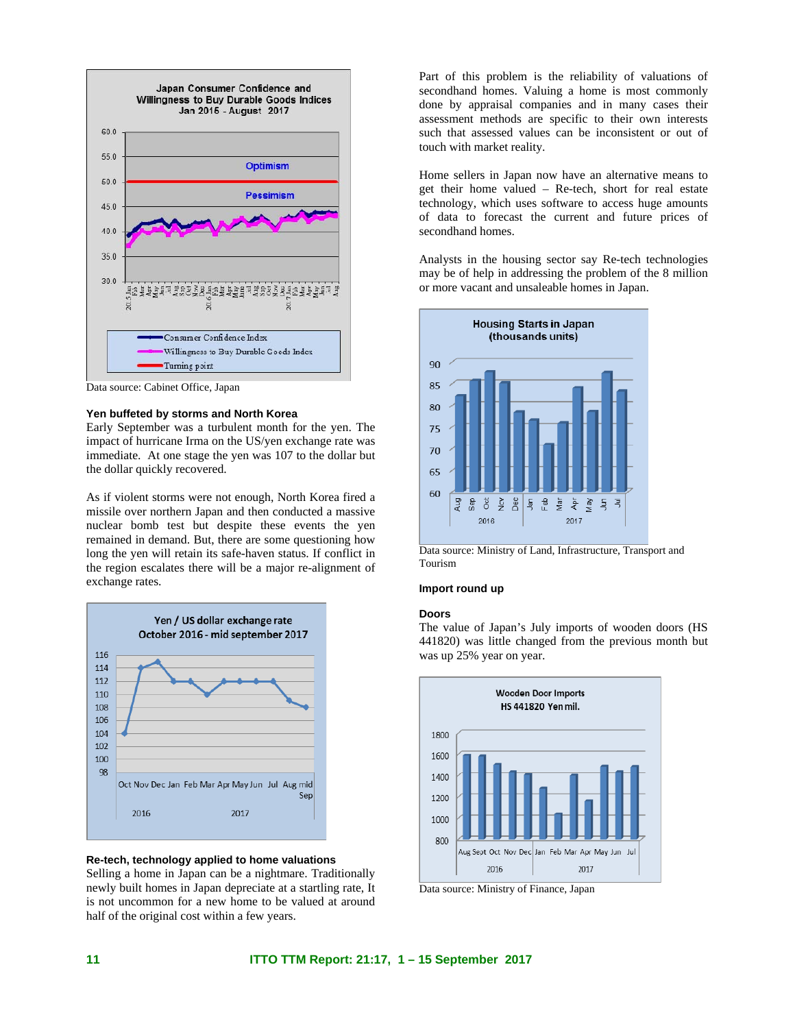

Data source: Cabinet Office, Japan

#### **Yen buffeted by storms and North Korea**

Early September was a turbulent month for the yen. The impact of hurricane Irma on the US/yen exchange rate was immediate. At one stage the yen was 107 to the dollar but the dollar quickly recovered.

As if violent storms were not enough, North Korea fired a missile over northern Japan and then conducted a massive nuclear bomb test but despite these events the yen remained in demand. But, there are some questioning how long the yen will retain its safe-haven status. If conflict in the region escalates there will be a major re-alignment of exchange rates.



**Re-tech, technology applied to home valuations** 

Selling a home in Japan can be a nightmare. Traditionally newly built homes in Japan depreciate at a startling rate, It is not uncommon for a new home to be valued at around half of the original cost within a few years.

Part of this problem is the reliability of valuations of secondhand homes. Valuing a home is most commonly done by appraisal companies and in many cases their assessment methods are specific to their own interests such that assessed values can be inconsistent or out of touch with market reality.

Home sellers in Japan now have an alternative means to get their home valued – Re-tech, short for real estate technology, which uses software to access huge amounts of data to forecast the current and future prices of secondhand homes.

Analysts in the housing sector say Re-tech technologies may be of help in addressing the problem of the 8 million or more vacant and unsaleable homes in Japan.



Data source: Ministry of Land, Infrastructure, Transport and Tourism

#### **Import round up**

### **Doors**

The value of Japan's July imports of wooden doors (HS 441820) was little changed from the previous month but was up 25% year on year.



Data source: Ministry of Finance, Japan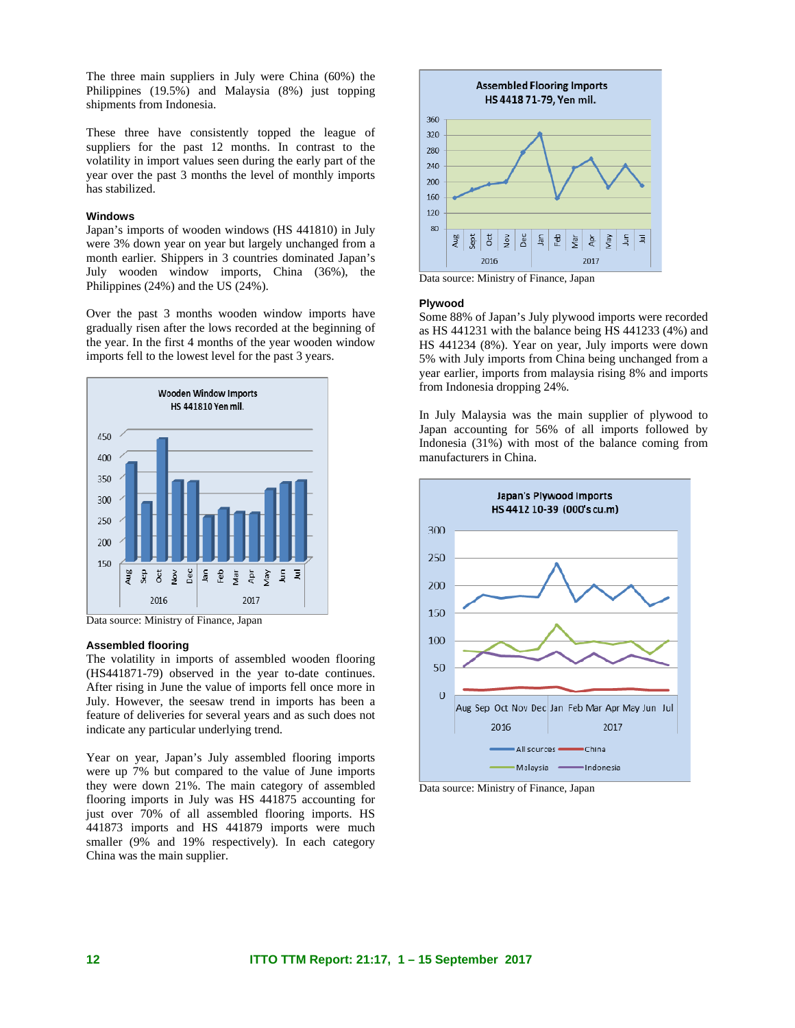The three main suppliers in July were China (60%) the Philippines (19.5%) and Malaysia (8%) just topping shipments from Indonesia.

These three have consistently topped the league of suppliers for the past 12 months. In contrast to the volatility in import values seen during the early part of the year over the past 3 months the level of monthly imports has stabilized.

### **Windows**

Japan's imports of wooden windows (HS 441810) in July were 3% down year on year but largely unchanged from a month earlier. Shippers in 3 countries dominated Japan's July wooden window imports, China (36%), the Philippines (24%) and the US (24%).

Over the past 3 months wooden window imports have gradually risen after the lows recorded at the beginning of the year. In the first 4 months of the year wooden window imports fell to the lowest level for the past 3 years.



Data source: Ministry of Finance, Japan

#### **Assembled flooring**

The volatility in imports of assembled wooden flooring (HS441871-79) observed in the year to-date continues. After rising in June the value of imports fell once more in July. However, the seesaw trend in imports has been a feature of deliveries for several years and as such does not indicate any particular underlying trend.

Year on year, Japan's July assembled flooring imports were up 7% but compared to the value of June imports they were down 21%. The main category of assembled flooring imports in July was HS 441875 accounting for just over 70% of all assembled flooring imports. HS 441873 imports and HS 441879 imports were much smaller (9% and 19% respectively). In each category China was the main supplier.



Data source: Ministry of Finance, Japan

#### **Plywood**

Some 88% of Japan's July plywood imports were recorded as HS 441231 with the balance being HS 441233 (4%) and HS 441234 (8%). Year on year, July imports were down 5% with July imports from China being unchanged from a year earlier, imports from malaysia rising 8% and imports from Indonesia dropping 24%.

In July Malaysia was the main supplier of plywood to Japan accounting for 56% of all imports followed by Indonesia (31%) with most of the balance coming from manufacturers in China.



Data source: Ministry of Finance, Japan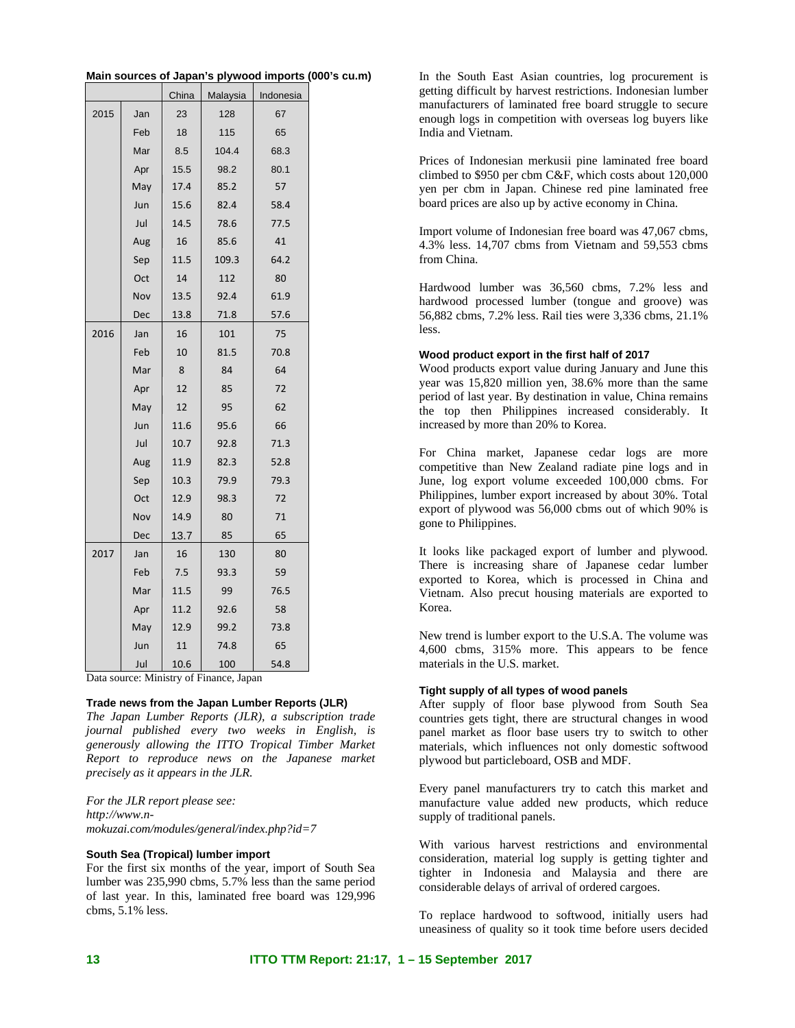|      |     | China | Malaysia | Indonesia |
|------|-----|-------|----------|-----------|
| 2015 | Jan | 23    | 128      | 67        |
|      | Feb | 18    | 115      | 65        |
|      | Mar | 8.5   | 104.4    | 68.3      |
|      | Apr | 15.5  | 98.2     | 80.1      |
|      | May | 17.4  | 85.2     | 57        |
|      | Jun | 15.6  | 82.4     | 58.4      |
|      | Jul | 14.5  | 78.6     | 77.5      |
|      | Aug | 16    | 85.6     | 41        |
|      | Sep | 11.5  | 109.3    | 64.2      |
|      | Oct | 14    | 112      | 80        |
|      | Nov | 13.5  | 92.4     | 61.9      |
|      | Dec | 13.8  | 71.8     | 57.6      |
| 2016 | Jan | 16    | 101      | 75        |
|      | Feb | 10    | 81.5     | 70.8      |
|      | Mar | 8     | 84       | 64        |
|      | Apr | 12    | 85       | 72        |
|      | May | 12    | 95       | 62        |
|      | Jun | 11.6  | 95.6     | 66        |
|      | Jul | 10.7  | 92.8     | 71.3      |
|      | Aug | 11.9  | 82.3     | 52.8      |
|      | Sep | 10.3  | 79.9     | 79.3      |
|      | Oct | 12.9  | 98.3     | 72        |
|      | Nov | 14.9  | 80       | 71        |
|      | Dec | 13.7  | 85       | 65        |
| 2017 | Jan | 16    | 130      | 80        |
|      | Feb | 7.5   | 93.3     | 59        |
|      | Mar | 11.5  | 99       | 76.5      |
|      | Apr | 11.2  | 92.6     | 58        |
|      | May | 12.9  | 99.2     | 73.8      |
|      | Jun | 11    | 74.8     | 65        |
|      | Jul | 10.6  | 100      | 54.8      |

| Main sources of Japan's plywood imports (000's cu.m) |
|------------------------------------------------------|
|------------------------------------------------------|

In the South East Asian countries, log procurement is getting difficult by harvest restrictions. Indonesian lumber manufacturers of laminated free board struggle to secure enough logs in competition with overseas log buyers like India and Vietnam.

Prices of Indonesian merkusii pine laminated free board climbed to \$950 per cbm C&F, which costs about 120,000 yen per cbm in Japan. Chinese red pine laminated free board prices are also up by active economy in China.

Import volume of Indonesian free board was 47,067 cbms, 4.3% less. 14,707 cbms from Vietnam and 59,553 cbms from China.

Hardwood lumber was 36,560 cbms, 7.2% less and hardwood processed lumber (tongue and groove) was 56,882 cbms, 7.2% less. Rail ties were 3,336 cbms, 21.1% less.

### **Wood product export in the first half of 2017**

Wood products export value during January and June this year was 15,820 million yen, 38.6% more than the same period of last year. By destination in value, China remains the top then Philippines increased considerably. It increased by more than 20% to Korea.

For China market, Japanese cedar logs are more competitive than New Zealand radiate pine logs and in June, log export volume exceeded 100,000 cbms. For Philippines, lumber export increased by about 30%. Total export of plywood was 56,000 cbms out of which 90% is gone to Philippines.

It looks like packaged export of lumber and plywood. There is increasing share of Japanese cedar lumber exported to Korea, which is processed in China and Vietnam. Also precut housing materials are exported to Korea.

New trend is lumber export to the U.S.A. The volume was 4,600 cbms, 315% more. This appears to be fence materials in the U.S. market.

# **Tight supply of all types of wood panels**

After supply of floor base plywood from South Sea countries gets tight, there are structural changes in wood panel market as floor base users try to switch to other materials, which influences not only domestic softwood plywood but particleboard, OSB and MDF.

Every panel manufacturers try to catch this market and manufacture value added new products, which reduce supply of traditional panels.

With various harvest restrictions and environmental consideration, material log supply is getting tighter and tighter in Indonesia and Malaysia and there are considerable delays of arrival of ordered cargoes.

To replace hardwood to softwood, initially users had uneasiness of quality so it took time before users decided

Data source: Ministry of Finance, Japan

### **Trade news from the Japan Lumber Reports (JLR)**

*The Japan Lumber Reports (JLR), a subscription trade journal published every two weeks in English, is generously allowing the ITTO Tropical Timber Market Report to reproduce news on the Japanese market precisely as it appears in the JLR.* 

*For the JLR report please see: http://www.nmokuzai.com/modules/general/index.php?id=7*

### **South Sea (Tropical) lumber import**

For the first six months of the year, import of South Sea lumber was 235,990 cbms, 5.7% less than the same period of last year. In this, laminated free board was 129,996 cbms, 5.1% less.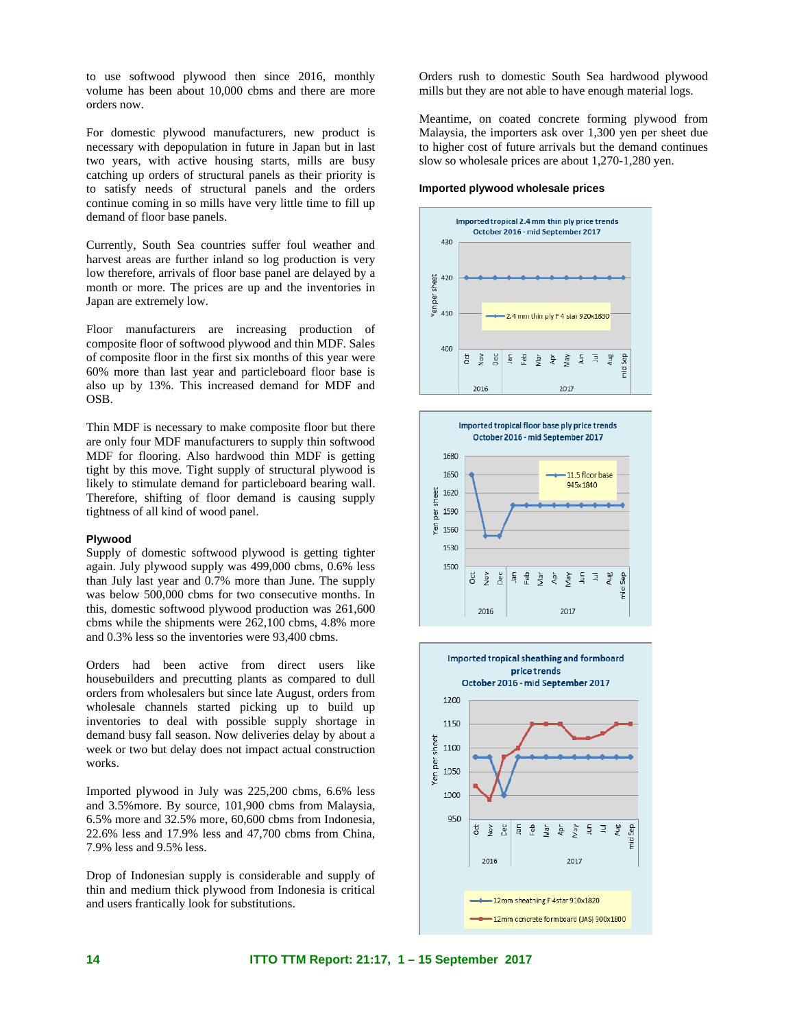to use softwood plywood then since 2016, monthly volume has been about 10,000 cbms and there are more orders now.

For domestic plywood manufacturers, new product is necessary with depopulation in future in Japan but in last two years, with active housing starts, mills are busy catching up orders of structural panels as their priority is to satisfy needs of structural panels and the orders continue coming in so mills have very little time to fill up demand of floor base panels.

Currently, South Sea countries suffer foul weather and harvest areas are further inland so log production is very low therefore, arrivals of floor base panel are delayed by a month or more. The prices are up and the inventories in Japan are extremely low.

Floor manufacturers are increasing production of composite floor of softwood plywood and thin MDF. Sales of composite floor in the first six months of this year were 60% more than last year and particleboard floor base is also up by 13%. This increased demand for MDF and OSB.

Thin MDF is necessary to make composite floor but there are only four MDF manufacturers to supply thin softwood MDF for flooring. Also hardwood thin MDF is getting tight by this move. Tight supply of structural plywood is likely to stimulate demand for particleboard bearing wall. Therefore, shifting of floor demand is causing supply tightness of all kind of wood panel.

#### **Plywood**

Supply of domestic softwood plywood is getting tighter again. July plywood supply was 499,000 cbms, 0.6% less than July last year and 0.7% more than June. The supply was below 500,000 cbms for two consecutive months. In this, domestic softwood plywood production was 261,600 cbms while the shipments were 262,100 cbms, 4.8% more and 0.3% less so the inventories were 93,400 cbms.

Orders had been active from direct users like housebuilders and precutting plants as compared to dull orders from wholesalers but since late August, orders from wholesale channels started picking up to build up inventories to deal with possible supply shortage in demand busy fall season. Now deliveries delay by about a week or two but delay does not impact actual construction works.

Imported plywood in July was 225,200 cbms, 6.6% less and 3.5%more. By source, 101,900 cbms from Malaysia, 6.5% more and 32.5% more, 60,600 cbms from Indonesia, 22.6% less and 17.9% less and 47,700 cbms from China, 7.9% less and 9.5% less.

Drop of Indonesian supply is considerable and supply of thin and medium thick plywood from Indonesia is critical and users frantically look for substitutions.

Orders rush to domestic South Sea hardwood plywood mills but they are not able to have enough material logs.

Meantime, on coated concrete forming plywood from Malaysia, the importers ask over 1,300 yen per sheet due to higher cost of future arrivals but the demand continues slow so wholesale prices are about 1,270-1,280 yen.

#### **Imported plywood wholesale prices**





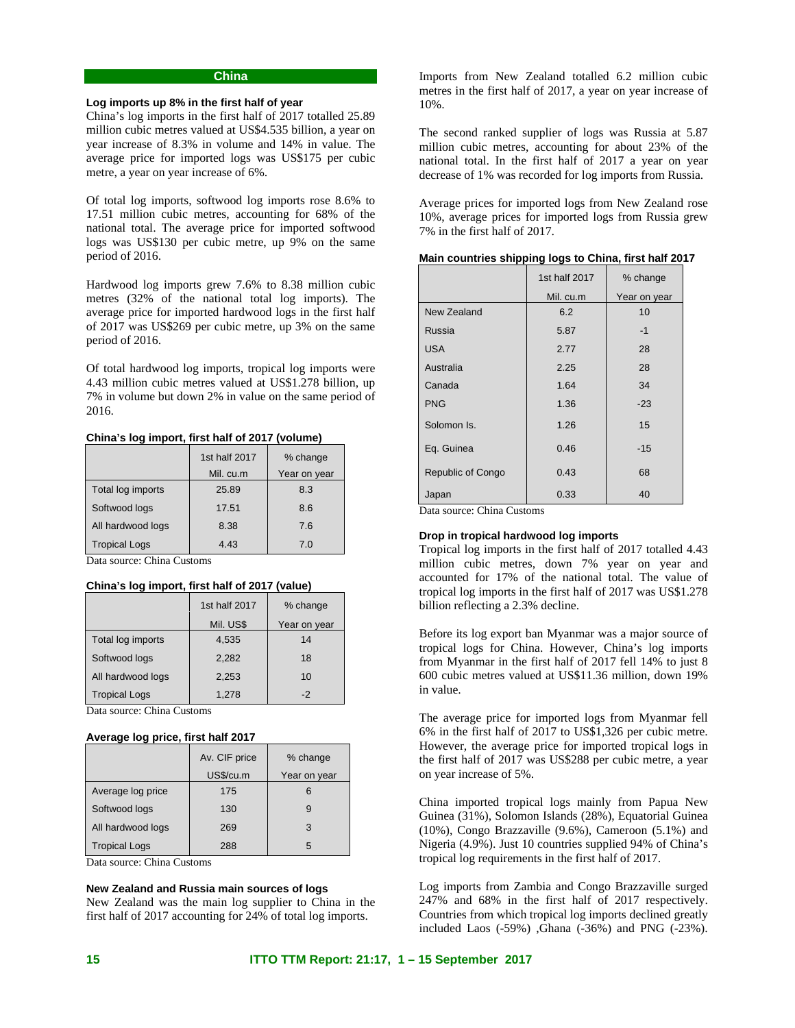# **China**

#### **Log imports up 8% in the first half of year**

China's log imports in the first half of 2017 totalled 25.89 million cubic metres valued at US\$4.535 billion, a year on year increase of 8.3% in volume and 14% in value. The average price for imported logs was US\$175 per cubic metre, a year on year increase of 6%.

Of total log imports, softwood log imports rose 8.6% to 17.51 million cubic metres, accounting for 68% of the national total. The average price for imported softwood logs was US\$130 per cubic metre, up 9% on the same period of 2016.

Hardwood log imports grew 7.6% to 8.38 million cubic metres (32% of the national total log imports). The average price for imported hardwood logs in the first half of 2017 was US\$269 per cubic metre, up 3% on the same period of 2016.

Of total hardwood log imports, tropical log imports were 4.43 million cubic metres valued at US\$1.278 billion, up 7% in volume but down 2% in value on the same period of 2016.

### **China's log import, first half of 2017 (volume)**

|                      | 1st half 2017 | % change     |
|----------------------|---------------|--------------|
|                      | Mil. cu.m     | Year on year |
| Total log imports    | 25.89         | 8.3          |
| Softwood logs        | 17.51         | 8.6          |
| All hardwood logs    | 8.38          | 7.6          |
| <b>Tropical Logs</b> | 4.43          | 7.0          |

Data source: China Customs

### **China's log import, first half of 2017 (value)**

|                      | 1st half 2017 | % change     |
|----------------------|---------------|--------------|
|                      | Mil. US\$     | Year on year |
| Total log imports    | 4,535         | 14           |
| Softwood logs        | 2,282         | 18           |
| All hardwood logs    | 2,253         | 10           |
| <b>Tropical Logs</b> | 1.278         | -2           |

Data source: China Customs

#### **Average log price, first half 2017**

|                      | Av. CIF price | % change     |
|----------------------|---------------|--------------|
|                      | US\$/cu.m     | Year on year |
| Average log price    | 175           |              |
| Softwood logs        | 130           | 9            |
| All hardwood logs    | 269           | 3            |
| <b>Tropical Logs</b> | 288           | 5            |

Data source: China Customs

#### **New Zealand and Russia main sources of logs**

New Zealand was the main log supplier to China in the first half of 2017 accounting for 24% of total log imports.

Imports from New Zealand totalled 6.2 million cubic metres in the first half of 2017, a year on year increase of 10%.

The second ranked supplier of logs was Russia at 5.87 million cubic metres, accounting for about 23% of the national total. In the first half of 2017 a year on year decrease of 1% was recorded for log imports from Russia.

Average prices for imported logs from New Zealand rose 10%, average prices for imported logs from Russia grew 7% in the first half of 2017.

|  |  |  |  |  | Main countries shipping logs to China, first half 2017 |  |
|--|--|--|--|--|--------------------------------------------------------|--|
|--|--|--|--|--|--------------------------------------------------------|--|

|                                        | 1st half 2017 | % change     |
|----------------------------------------|---------------|--------------|
|                                        | Mil. cu.m     | Year on year |
| New Zealand                            | 6.2           | 10           |
| Russia                                 | 5.87          | $-1$         |
| <b>USA</b>                             | 2.77          | 28           |
| Australia                              | 2.25          | 28           |
| Canada                                 | 1.64          | 34           |
| <b>PNG</b>                             | 1.36          | $-23$        |
| Solomon Is.                            | 1.26          | 15           |
| Eq. Guinea                             | 0.46          | $-15$        |
| Republic of Congo                      | 0.43          | 68           |
| Japan<br>$\alpha$ $\alpha$<br><b>D</b> | 0.33          | 40           |

Data source: China Customs

#### **Drop in tropical hardwood log imports**

Tropical log imports in the first half of 2017 totalled 4.43 million cubic metres, down 7% year on year and accounted for 17% of the national total. The value of tropical log imports in the first half of 2017 was US\$1.278 billion reflecting a 2.3% decline.

Before its log export ban Myanmar was a major source of tropical logs for China. However, China's log imports from Myanmar in the first half of 2017 fell 14% to just 8 600 cubic metres valued at US\$11.36 million, down 19% in value.

The average price for imported logs from Myanmar fell 6% in the first half of 2017 to US\$1,326 per cubic metre. However, the average price for imported tropical logs in the first half of 2017 was US\$288 per cubic metre, a year on year increase of 5%.

China imported tropical logs mainly from Papua New Guinea (31%), Solomon Islands (28%), Equatorial Guinea (10%), Congo Brazzaville (9.6%), Cameroon (5.1%) and Nigeria (4.9%). Just 10 countries supplied 94% of China's tropical log requirements in the first half of 2017.

Log imports from Zambia and Congo Brazzaville surged 247% and 68% in the first half of 2017 respectively. Countries from which tropical log imports declined greatly included Laos (-59%) ,Ghana (-36%) and PNG (-23%).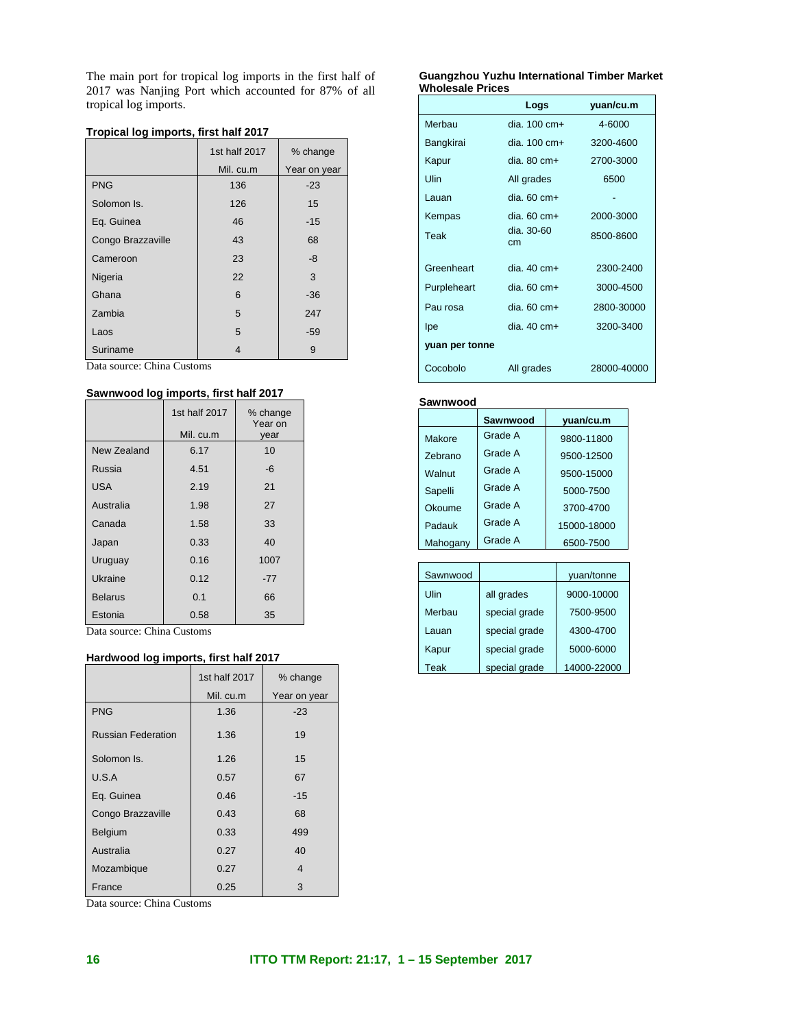The main port for tropical log imports in the first half of 2017 was Nanjing Port which accounted for 87% of all tropical log imports.

|                   | 1st half 2017 | % change     |
|-------------------|---------------|--------------|
|                   | Mil. cu.m     | Year on year |
| <b>PNG</b>        | 136           | $-23$        |
| Solomon Is.       | 126           | 15           |
| Eq. Guinea        | 46            | $-15$        |
| Congo Brazzaville | 43            | 68           |
| Cameroon          | 23            | -8           |
| Nigeria           | 22            | 3            |
| Ghana             | 6             | $-36$        |
| Zambia            | 5             | 247          |
| Laos              | 5             | $-59$        |
| Suriname          | 4             | 9            |

Data source: China Customs

# **Sawnwood log imports, first half 2017**

|                | 1st half 2017 | % change<br>Year on |
|----------------|---------------|---------------------|
|                | Mil. cu.m     | year                |
| New Zealand    | 6.17          | 10                  |
| Russia         | 4.51          | -6                  |
| USA            | 2.19          | 21                  |
| Australia      | 1.98          | 27                  |
| Canada         | 1.58          | 33                  |
| Japan          | 0.33          | 40                  |
| Uruguay        | 0.16          | 1007                |
| Ukraine        | 0.12          | $-77$               |
| <b>Belarus</b> | 0.1           | 66                  |
| Estonia        | 0.58          | 35                  |

Data source: China Customs

# **Hardwood log imports, first half 2017**

|                           | 1st half 2017 | % change     |
|---------------------------|---------------|--------------|
|                           | Mil. cu.m     | Year on year |
| <b>PNG</b>                | 1.36          | $-23$        |
| <b>Russian Federation</b> | 1.36          | 19           |
| Solomon Is.               | 1.26          | 15           |
| U.S.A                     | 0.57          | 67           |
| Eq. Guinea                | 0.46          | $-15$        |
| Congo Brazzaville         | 0.43          | 68           |
| Belgium                   | 0.33          | 499          |
| Australia                 | 0.27          | 40           |
| Mozambique                | 0.27          | 4            |
| France                    | 0.25          | 3            |

Data source: China Customs

#### **Guangzhou Yuzhu International Timber Market Wholesale Prices**

|                | Logs                    | yuan/cu.m   |
|----------------|-------------------------|-------------|
| Merbau         | dia. $100 \text{ cm}$ + | 4-6000      |
| Bangkirai      | dia. $100 \text{ cm}+$  | 3200-4600   |
| Kapur          | $dia. 80 cm+$           | 2700-3000   |
| Ulin           | All grades              | 6500        |
| Lauan          | dia. $60 \text{ cm}+$   |             |
| Kempas         | $dia.60 cm+$            | 2000-3000   |
| Teak           | dia. 30-60<br>cm        | 8500-8600   |
| Greenheart     | $dia.40 cm+$            | 2300-2400   |
| Purpleheart    | $dia.60 cm+$            | 3000-4500   |
| Pau rosa       | dia. $60 \text{ cm}+$   | 2800-30000  |
| Ipe            | $dia.40 cm+$            | 3200-3400   |
| yuan per tonne |                         |             |
| Cocobolo       | All grades              | 28000-40000 |

#### **Sawnwood**

|                | Sawnwood | yuan/cu.m   |
|----------------|----------|-------------|
| Makore         | Grade A  | 9800-11800  |
| <b>Zebrano</b> | Grade A  | 9500-12500  |
| Walnut         | Grade A  | 9500-15000  |
| Sapelli        | Grade A  | 5000-7500   |
| Okoume         | Grade A  | 3700-4700   |
| Padauk         | Grade A  | 15000-18000 |
| Mahogany       | Grade A  | 6500-7500   |

| Sawnwood |               | yuan/tonne  |
|----------|---------------|-------------|
| Ulin     | all grades    | 9000-10000  |
| Merbau   | special grade | 7500-9500   |
| Lauan    | special grade | 4300-4700   |
| Kapur    | special grade | 5000-6000   |
| Teak     | special grade | 14000-22000 |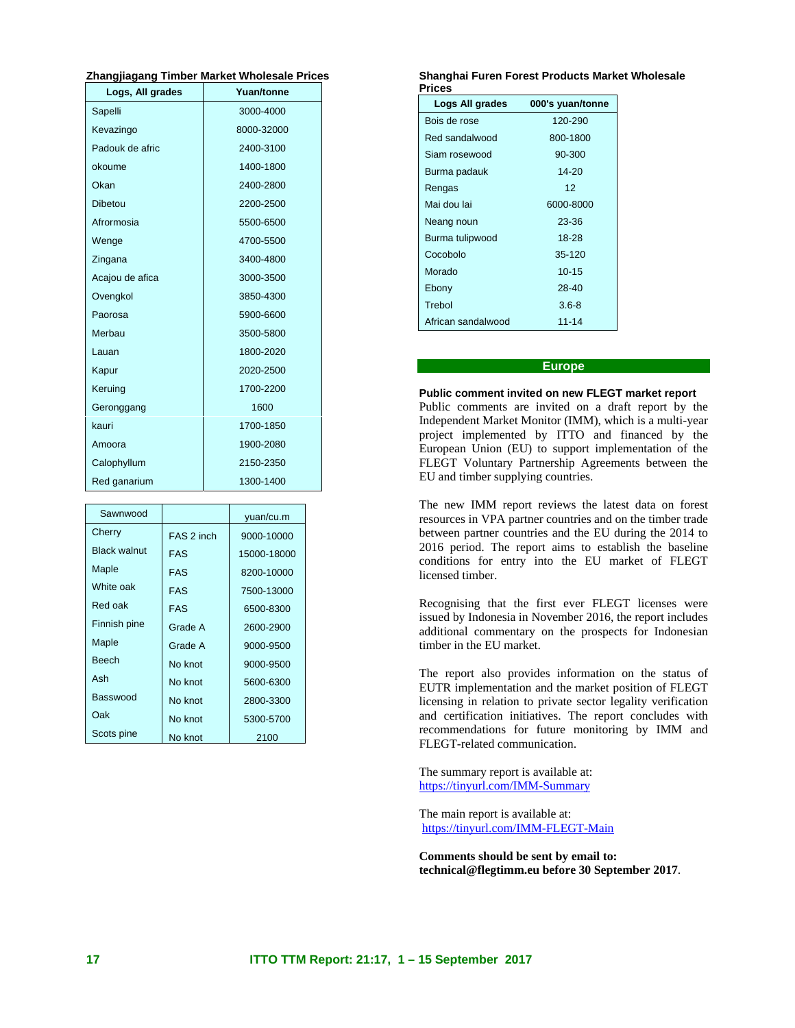# **Zhangjiagang Timber Market Wholesale Prices**

| Logs, All grades | Yuan/tonne |
|------------------|------------|
| Sapelli          | 3000-4000  |
| Kevazingo        | 8000-32000 |
| Padouk de afric  | 2400-3100  |
| okoume           | 1400-1800  |
| Okan             | 2400-2800  |
| Dibetou          | 2200-2500  |
| Afrormosia       | 5500-6500  |
| Wenge            | 4700-5500  |
| Zingana          | 3400-4800  |
| Acajou de afica  | 3000-3500  |
| Ovengkol         | 3850-4300  |
| Paorosa          | 5900-6600  |
| Merbau           | 3500-5800  |
| Lauan            | 1800-2020  |
| Kapur            | 2020-2500  |
| Keruing          | 1700-2200  |
| Geronggang       | 1600       |
| kauri            | 1700-1850  |
| Amoora           | 1900-2080  |
| Calophyllum      | 2150-2350  |
| Red ganarium     | 1300-1400  |

| Sawnwood            |            | yuan/cu.m   |
|---------------------|------------|-------------|
| Cherry              | FAS 2 inch | 9000-10000  |
| <b>Black walnut</b> | <b>FAS</b> | 15000-18000 |
| Maple               | <b>FAS</b> | 8200-10000  |
| White oak           | <b>FAS</b> | 7500-13000  |
| Red oak             | <b>FAS</b> | 6500-8300   |
| Finnish pine        | Grade A    | 2600-2900   |
| Maple               | Grade A    | 9000-9500   |
| <b>Beech</b>        | No knot    | 9000-9500   |
| Ash                 | No knot    | 5600-6300   |
| Basswood            | No knot    | 2800-3300   |
| Oak                 | No knot    | 5300-5700   |
| Scots pine          | No knot    | 2100        |

#### **Shanghai Furen Forest Products Market Wholesale Prices**

| Logs All grades    | 000's yuan/tonne |
|--------------------|------------------|
| Bois de rose       | 120-290          |
| Red sandalwood     | 800-1800         |
| Siam rosewood      | 90-300           |
| Burma padauk       | $14 - 20$        |
| Rengas             | 12               |
| Mai dou lai        | 6000-8000        |
| Neang noun         | 23-36            |
| Burma tulipwood    | 18-28            |
| Cocobolo           | 35-120           |
| Morado             | $10 - 15$        |
| Ebony              | 28-40            |
| Trebol             | $3.6 - 8$        |
| African sandalwood | 11-14            |

## **Europe**

#### **Public comment invited on new FLEGT market report**

Public comments are invited on a draft report by the Independent Market Monitor (IMM), which is a multi-year project implemented by ITTO and financed by the European Union (EU) to support implementation of the FLEGT Voluntary Partnership Agreements between the EU and timber supplying countries.

The new IMM report reviews the latest data on forest resources in VPA partner countries and on the timber trade between partner countries and the EU during the 2014 to 2016 period. The report aims to establish the baseline conditions for entry into the EU market of FLEGT licensed timber.

Recognising that the first ever FLEGT licenses were issued by Indonesia in November 2016, the report includes additional commentary on the prospects for Indonesian timber in the EU market.

The report also provides information on the status of EUTR implementation and the market position of FLEGT licensing in relation to private sector legality verification and certification initiatives. The report concludes with recommendations for future monitoring by IMM and FLEGT-related communication.

The summary report is available at: https://tinyurl.com/IMM-Summary

The main report is available at: https://tinyurl.com/IMM-FLEGT-Main

**Comments should be sent by email to: technical@flegtimm.eu before 30 September 2017**.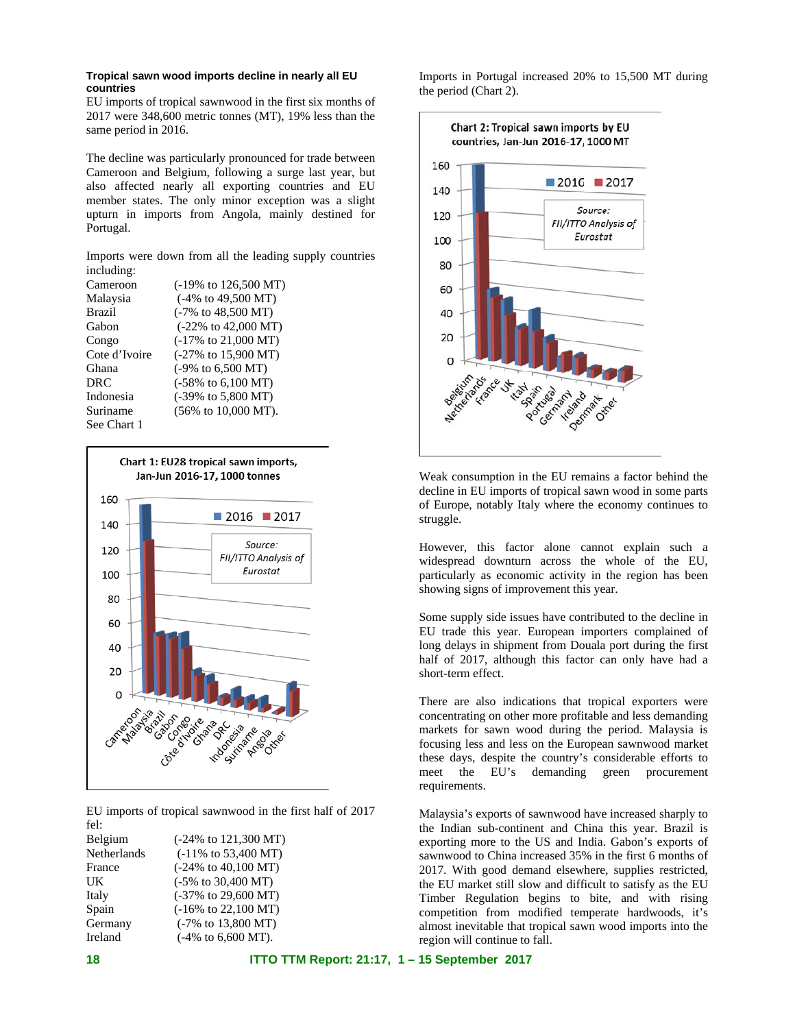### **Tropical sawn wood imports decline in nearly all EU countries**

EU imports of tropical sawnwood in the first six months of 2017 were 348,600 metric tonnes (MT), 19% less than the same period in 2016.

The decline was particularly pronounced for trade between Cameroon and Belgium, following a surge last year, but also affected nearly all exporting countries and EU member states. The only minor exception was a slight upturn in imports from Angola, mainly destined for Portugal.

Imports were down from all the leading supply countries including:

| Cameroon      | (-19% to 126,500 MT)                    |
|---------------|-----------------------------------------|
| Malaysia      | $(-4\% \text{ to } 49,500 \text{ MT})$  |
| Brazil        | $(-7\% \text{ to } 48,500 \text{ MT})$  |
| Gabon         | $(-22\% \text{ to } 42,000 \text{ MT})$ |
| Congo         | $(-17\% \text{ to } 21,000 \text{ MT})$ |
| Cote d'Ivoire | (-27% to 15,900 MT)                     |
| Ghana         | $(-9\% \text{ to } 6,500 \text{ MT})$   |
| DRC.          | $(-58\% \text{ to } 6,100 \text{ MT})$  |
| Indonesia     | (-39% to 5,800 MT)                      |
| Suriname      | $(56\% \text{ to } 10,000 \text{ MT}).$ |
| See Chart 1   |                                         |



EU imports of tropical sawnwood in the first half of 2017 fel:

| Belgium     | $(-24\% \text{ to } 121,300 \text{ MT})$ |
|-------------|------------------------------------------|
| Netherlands | (-11% to 53,400 MT)                      |
| France      | $(-24\% \text{ to } 40,100 \text{ MT})$  |
| UK          | $(-5\% \text{ to } 30,400 \text{ MT})$   |
| Italy       | $(-37\% \text{ to } 29,600 \text{ MT})$  |
| Spain       | $(-16\% \text{ to } 22,100 \text{ MT})$  |
| Germany     | $(-7\% \text{ to } 13,800 \text{ MT})$   |
| Ireland     | $(-4\% \text{ to } 6,600 \text{ MT}).$   |
|             |                                          |

Imports in Portugal increased 20% to 15,500 MT during the period (Chart 2).



Weak consumption in the EU remains a factor behind the decline in EU imports of tropical sawn wood in some parts of Europe, notably Italy where the economy continues to struggle.

However, this factor alone cannot explain such a widespread downturn across the whole of the EU, particularly as economic activity in the region has been showing signs of improvement this year.

Some supply side issues have contributed to the decline in EU trade this year. European importers complained of long delays in shipment from Douala port during the first half of 2017, although this factor can only have had a short-term effect.

There are also indications that tropical exporters were concentrating on other more profitable and less demanding markets for sawn wood during the period. Malaysia is focusing less and less on the European sawnwood market these days, despite the country's considerable efforts to meet the EU's demanding green procurement requirements.

Malaysia's exports of sawnwood have increased sharply to the Indian sub-continent and China this year. Brazil is exporting more to the US and India. Gabon's exports of sawnwood to China increased 35% in the first 6 months of 2017. With good demand elsewhere, supplies restricted, the EU market still slow and difficult to satisfy as the EU Timber Regulation begins to bite, and with rising competition from modified temperate hardwoods, it's almost inevitable that tropical sawn wood imports into the region will continue to fall.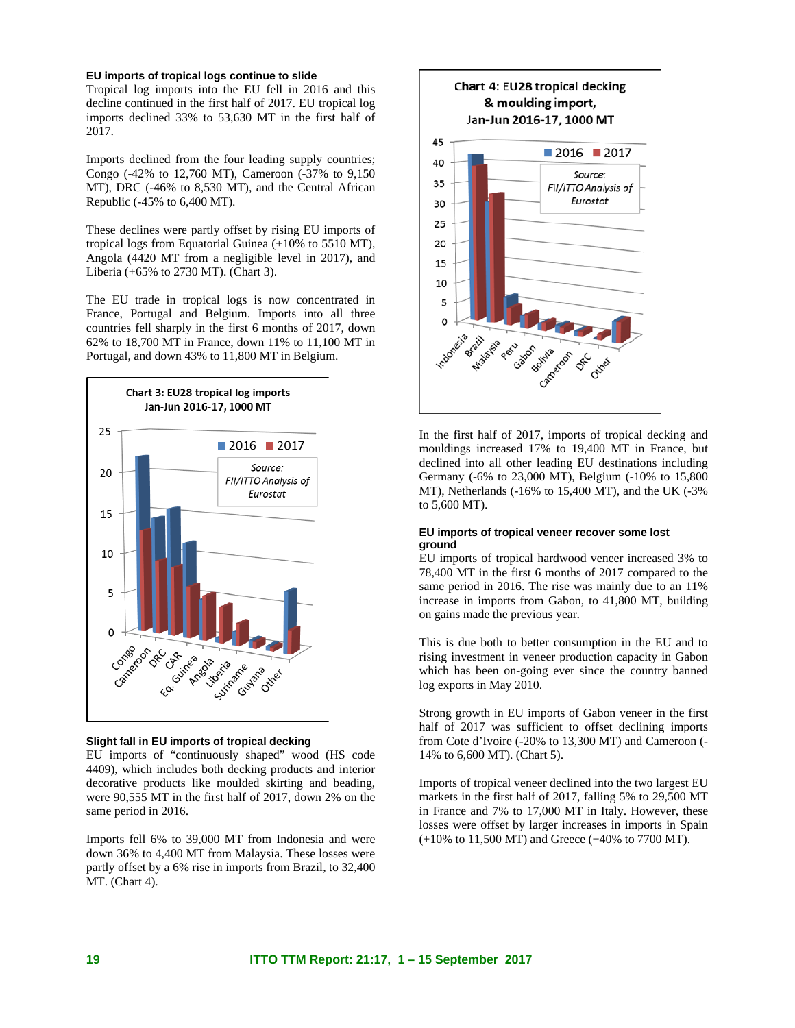#### **EU imports of tropical logs continue to slide**

Tropical log imports into the EU fell in 2016 and this decline continued in the first half of 2017. EU tropical log imports declined 33% to 53,630 MT in the first half of 2017.

Imports declined from the four leading supply countries; Congo (-42% to 12,760 MT), Cameroon (-37% to 9,150 MT), DRC (-46% to 8,530 MT), and the Central African Republic (-45% to 6,400 MT).

These declines were partly offset by rising EU imports of tropical logs from Equatorial Guinea (+10% to 5510 MT), Angola (4420 MT from a negligible level in 2017), and Liberia (+65% to 2730 MT). (Chart 3).

The EU trade in tropical logs is now concentrated in France, Portugal and Belgium. Imports into all three countries fell sharply in the first 6 months of 2017, down 62% to 18,700 MT in France, down 11% to 11,100 MT in Portugal, and down 43% to 11,800 MT in Belgium.



#### **Slight fall in EU imports of tropical decking**

EU imports of "continuously shaped" wood (HS code 4409), which includes both decking products and interior decorative products like moulded skirting and beading, were 90,555 MT in the first half of 2017, down 2% on the same period in 2016.

Imports fell 6% to 39,000 MT from Indonesia and were down 36% to 4,400 MT from Malaysia. These losses were partly offset by a 6% rise in imports from Brazil, to 32,400 MT. (Chart 4).



In the first half of 2017, imports of tropical decking and mouldings increased 17% to 19,400 MT in France, but declined into all other leading EU destinations including Germany (-6% to 23,000 MT), Belgium (-10% to 15,800 MT), Netherlands (-16% to 15,400 MT), and the UK (-3% to 5,600 MT).

#### **EU imports of tropical veneer recover some lost ground**

EU imports of tropical hardwood veneer increased 3% to 78,400 MT in the first 6 months of 2017 compared to the same period in 2016. The rise was mainly due to an  $11\%$ increase in imports from Gabon, to 41,800 MT, building on gains made the previous year.

This is due both to better consumption in the EU and to rising investment in veneer production capacity in Gabon which has been on-going ever since the country banned log exports in May 2010.

Strong growth in EU imports of Gabon veneer in the first half of 2017 was sufficient to offset declining imports from Cote d'Ivoire (-20% to 13,300 MT) and Cameroon (- 14% to 6,600 MT). (Chart 5).

Imports of tropical veneer declined into the two largest EU markets in the first half of 2017, falling 5% to 29,500 MT in France and 7% to 17,000 MT in Italy. However, these losses were offset by larger increases in imports in Spain (+10% to 11,500 MT) and Greece (+40% to 7700 MT).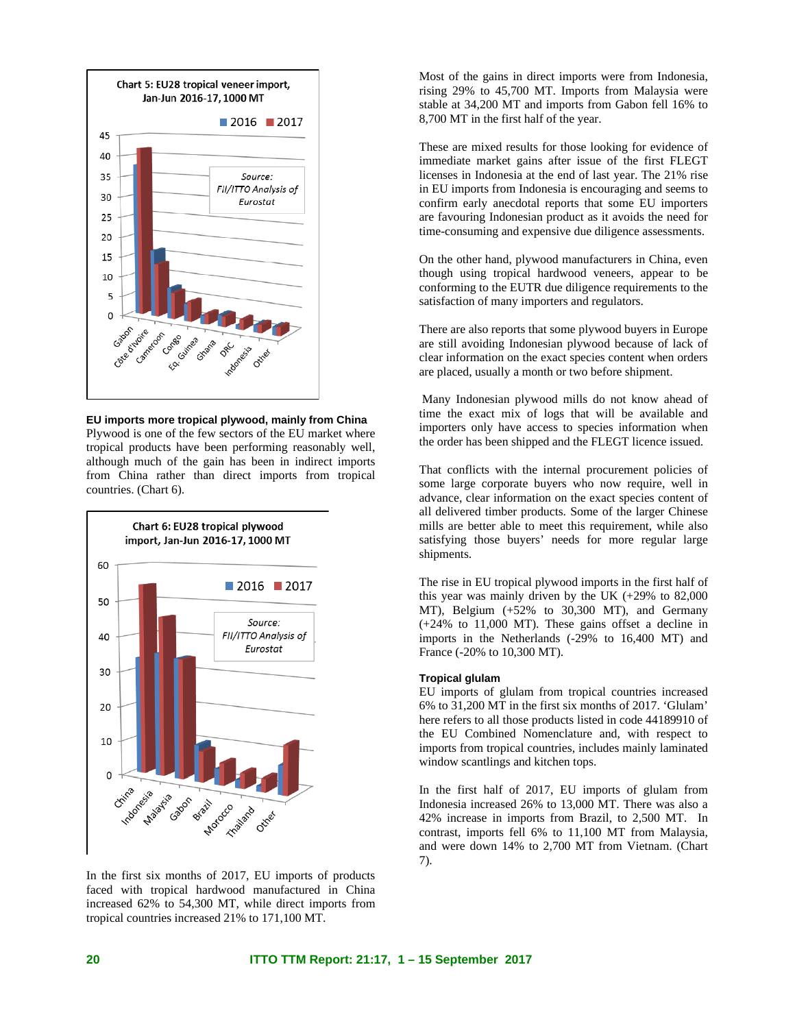

**EU imports more tropical plywood, mainly from China**  Plywood is one of the few sectors of the EU market where tropical products have been performing reasonably well, although much of the gain has been in indirect imports from China rather than direct imports from tropical countries. (Chart 6).



In the first six months of 2017, EU imports of products faced with tropical hardwood manufactured in China increased 62% to 54,300 MT, while direct imports from tropical countries increased 21% to 171,100 MT.

Most of the gains in direct imports were from Indonesia, rising 29% to 45,700 MT. Imports from Malaysia were stable at 34,200 MT and imports from Gabon fell 16% to 8,700 MT in the first half of the year.

These are mixed results for those looking for evidence of immediate market gains after issue of the first FLEGT licenses in Indonesia at the end of last year. The 21% rise in EU imports from Indonesia is encouraging and seems to confirm early anecdotal reports that some EU importers are favouring Indonesian product as it avoids the need for time-consuming and expensive due diligence assessments.

On the other hand, plywood manufacturers in China, even though using tropical hardwood veneers, appear to be conforming to the EUTR due diligence requirements to the satisfaction of many importers and regulators.

There are also reports that some plywood buyers in Europe are still avoiding Indonesian plywood because of lack of clear information on the exact species content when orders are placed, usually a month or two before shipment.

 Many Indonesian plywood mills do not know ahead of time the exact mix of logs that will be available and importers only have access to species information when the order has been shipped and the FLEGT licence issued.

That conflicts with the internal procurement policies of some large corporate buyers who now require, well in advance, clear information on the exact species content of all delivered timber products. Some of the larger Chinese mills are better able to meet this requirement, while also satisfying those buyers' needs for more regular large shipments.

The rise in EU tropical plywood imports in the first half of this year was mainly driven by the UK (+29% to 82,000 MT), Belgium (+52% to 30,300 MT), and Germany (+24% to 11,000 MT). These gains offset a decline in imports in the Netherlands (-29% to 16,400 MT) and France (-20% to 10,300 MT).

### **Tropical glulam**

EU imports of glulam from tropical countries increased 6% to 31,200 MT in the first six months of 2017. 'Glulam' here refers to all those products listed in code 44189910 of the EU Combined Nomenclature and, with respect to imports from tropical countries, includes mainly laminated window scantlings and kitchen tops.

In the first half of 2017, EU imports of glulam from Indonesia increased 26% to 13,000 MT. There was also a 42% increase in imports from Brazil, to 2,500 MT. In contrast, imports fell 6% to 11,100 MT from Malaysia, and were down 14% to 2,700 MT from Vietnam. (Chart 7).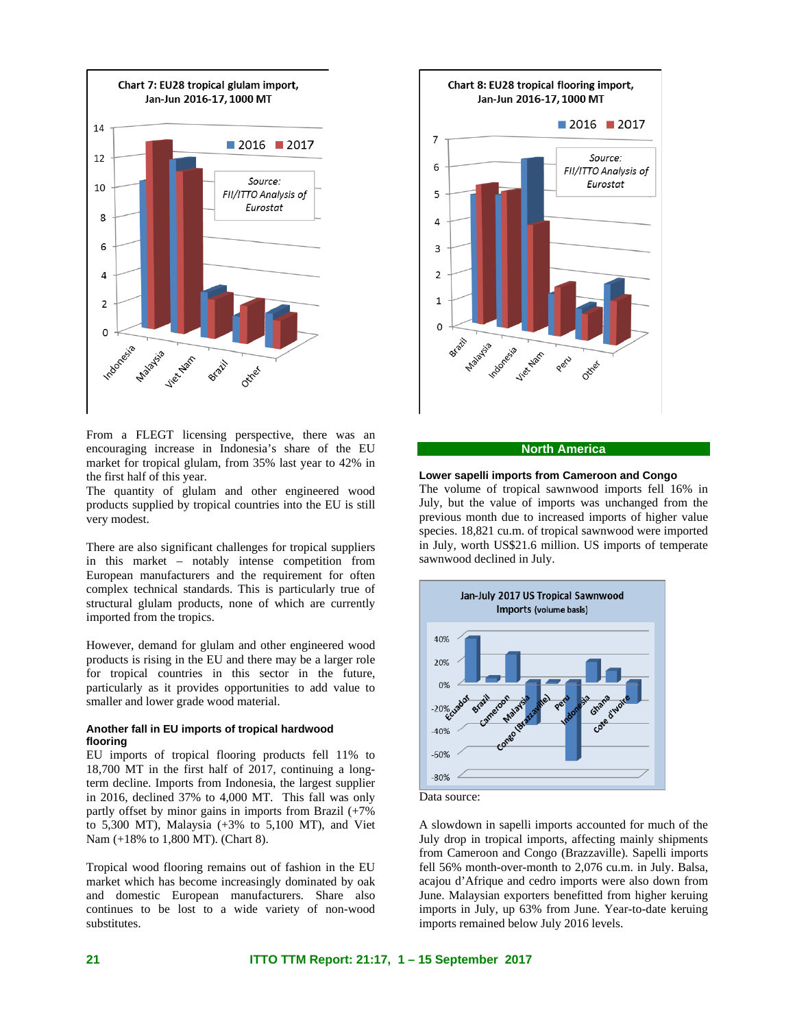

From a FLEGT licensing perspective, there was an encouraging increase in Indonesia's share of the EU market for tropical glulam, from 35% last year to 42% in the first half of this year.

The quantity of glulam and other engineered wood products supplied by tropical countries into the EU is still very modest.

There are also significant challenges for tropical suppliers in this market – notably intense competition from European manufacturers and the requirement for often complex technical standards. This is particularly true of structural glulam products, none of which are currently imported from the tropics.

However, demand for glulam and other engineered wood products is rising in the EU and there may be a larger role for tropical countries in this sector in the future, particularly as it provides opportunities to add value to smaller and lower grade wood material.

### **Another fall in EU imports of tropical hardwood flooring**

EU imports of tropical flooring products fell 11% to 18,700 MT in the first half of 2017, continuing a longterm decline. Imports from Indonesia, the largest supplier in 2016, declined 37% to 4,000 MT. This fall was only partly offset by minor gains in imports from Brazil (+7% to 5,300 MT), Malaysia (+3% to 5,100 MT), and Viet Nam (+18% to 1,800 MT). (Chart 8).

Tropical wood flooring remains out of fashion in the EU market which has become increasingly dominated by oak and domestic European manufacturers. Share also continues to be lost to a wide variety of non-wood substitutes.



#### **North America**

#### **Lower sapelli imports from Cameroon and Congo**

The volume of tropical sawnwood imports fell 16% in July, but the value of imports was unchanged from the previous month due to increased imports of higher value species. 18,821 cu.m. of tropical sawnwood were imported in July, worth US\$21.6 million. US imports of temperate sawnwood declined in July.



Data source:

A slowdown in sapelli imports accounted for much of the July drop in tropical imports, affecting mainly shipments from Cameroon and Congo (Brazzaville). Sapelli imports fell 56% month-over-month to 2,076 cu.m. in July. Balsa, acajou d'Afrique and cedro imports were also down from June. Malaysian exporters benefitted from higher keruing imports in July, up 63% from June. Year-to-date keruing imports remained below July 2016 levels.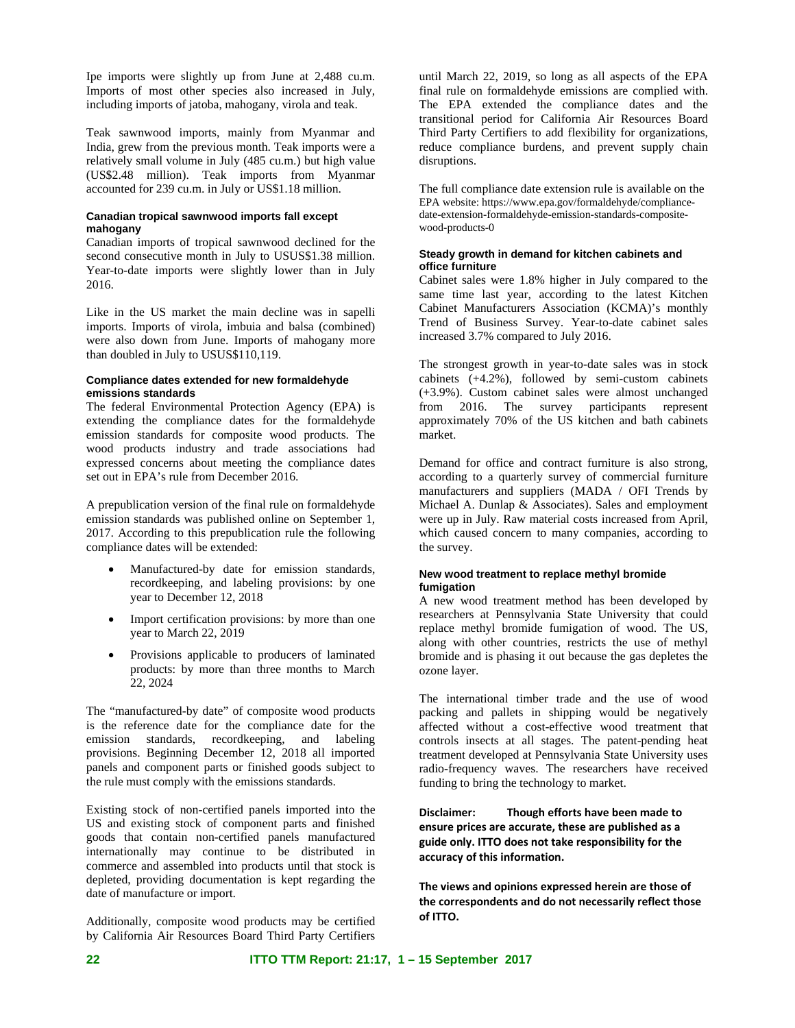Ipe imports were slightly up from June at 2,488 cu.m. Imports of most other species also increased in July, including imports of jatoba, mahogany, virola and teak.

Teak sawnwood imports, mainly from Myanmar and India, grew from the previous month. Teak imports were a relatively small volume in July (485 cu.m.) but high value (US\$2.48 million). Teak imports from Myanmar accounted for 239 cu.m. in July or US\$1.18 million.

### **Canadian tropical sawnwood imports fall except mahogany**

Canadian imports of tropical sawnwood declined for the second consecutive month in July to USUS\$1.38 million. Year-to-date imports were slightly lower than in July 2016.

Like in the US market the main decline was in sapelli imports. Imports of virola, imbuia and balsa (combined) were also down from June. Imports of mahogany more than doubled in July to USUS\$110,119.

#### **Compliance dates extended for new formaldehyde emissions standards**

The federal Environmental Protection Agency (EPA) is extending the compliance dates for the formaldehyde emission standards for composite wood products. The wood products industry and trade associations had expressed concerns about meeting the compliance dates set out in EPA's rule from December 2016.

A prepublication version of the final rule on formaldehyde emission standards was published online on September 1, 2017. According to this prepublication rule the following compliance dates will be extended:

- Manufactured-by date for emission standards, recordkeeping, and labeling provisions: by one year to December 12, 2018
- Import certification provisions: by more than one year to March 22, 2019
- Provisions applicable to producers of laminated products: by more than three months to March 22, 2024

The "manufactured-by date" of composite wood products is the reference date for the compliance date for the emission standards, recordkeeping, and labeling provisions. Beginning December 12, 2018 all imported panels and component parts or finished goods subject to the rule must comply with the emissions standards.

Existing stock of non-certified panels imported into the US and existing stock of component parts and finished goods that contain non-certified panels manufactured internationally may continue to be distributed in commerce and assembled into products until that stock is depleted, providing documentation is kept regarding the date of manufacture or import.

Additionally, composite wood products may be certified by California Air Resources Board Third Party Certifiers until March 22, 2019, so long as all aspects of the EPA final rule on formaldehyde emissions are complied with. The EPA extended the compliance dates and the transitional period for California Air Resources Board Third Party Certifiers to add flexibility for organizations, reduce compliance burdens, and prevent supply chain disruptions.

The full compliance date extension rule is available on the EPA website: https://www.epa.gov/formaldehyde/compliancedate-extension-formaldehyde-emission-standards-compositewood-products-0

## **Steady growth in demand for kitchen cabinets and office furniture**

Cabinet sales were 1.8% higher in July compared to the same time last year, according to the latest Kitchen Cabinet Manufacturers Association (KCMA)'s monthly Trend of Business Survey. Year-to-date cabinet sales increased 3.7% compared to July 2016.

The strongest growth in year-to-date sales was in stock cabinets (+4.2%), followed by semi-custom cabinets (+3.9%). Custom cabinet sales were almost unchanged from 2016. The survey participants represent approximately 70% of the US kitchen and bath cabinets market.

Demand for office and contract furniture is also strong, according to a quarterly survey of commercial furniture manufacturers and suppliers (MADA / OFI Trends by Michael A. Dunlap & Associates). Sales and employment were up in July. Raw material costs increased from April, which caused concern to many companies, according to the survey.

#### **New wood treatment to replace methyl bromide fumigation**

A new wood treatment method has been developed by researchers at Pennsylvania State University that could replace methyl bromide fumigation of wood. The US, along with other countries, restricts the use of methyl bromide and is phasing it out because the gas depletes the ozone layer.

The international timber trade and the use of wood packing and pallets in shipping would be negatively affected without a cost-effective wood treatment that controls insects at all stages. The patent-pending heat treatment developed at Pennsylvania State University uses radio-frequency waves. The researchers have received funding to bring the technology to market.

**Disclaimer: Though efforts have been made to ensure prices are accurate, these are published as a guide only. ITTO does not take responsibility for the accuracy of this information.** 

**The views and opinions expressed herein are those of the correspondents and do not necessarily reflect those of ITTO.**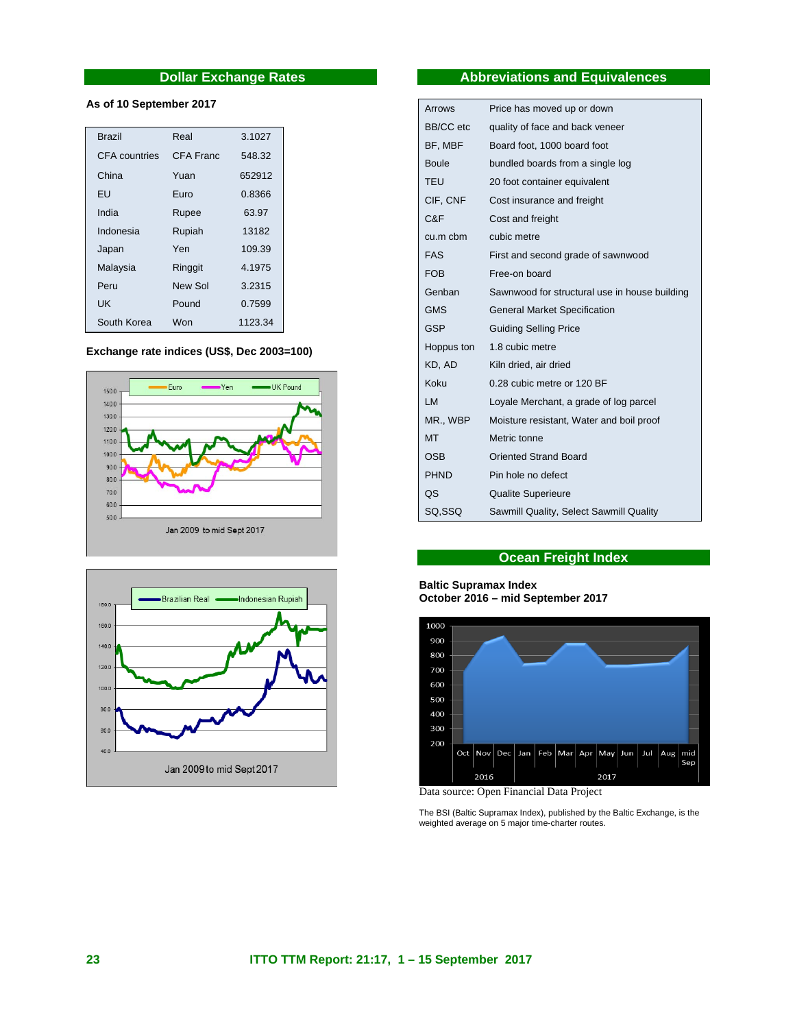# **Dollar Exchange Rates**

# **As of 10 September 2017**

| <b>Brazil</b> | Real      | 3.1027  |
|---------------|-----------|---------|
| CFA countries | CFA Franc | 548.32  |
| China         | Yuan      | 652912  |
| FU            | Furo      | 0.8366  |
| India         | Rupee     | 63.97   |
| Indonesia     | Rupiah    | 13182   |
| Japan         | Yen       | 109.39  |
| Malaysia      | Ringgit   | 4.1975  |
| Peru          | New Sol   | 3.2315  |
| <b>UK</b>     | Pound     | 0.7599  |
| South Korea   | Won       | 1123.34 |

# **Exchange rate indices (US\$, Dec 2003=100)**





# **Abbreviations and Equivalences**

| Arrows           | Price has moved up or down                    |
|------------------|-----------------------------------------------|
| <b>BB/CC</b> etc | quality of face and back veneer               |
| BF, MBF          | Board foot, 1000 board foot                   |
| <b>Boule</b>     | bundled boards from a single log              |
| <b>TEU</b>       | 20 foot container equivalent                  |
| CIF, CNF         | Cost insurance and freight                    |
| C&F              | Cost and freight                              |
| $cu.m$ cbm       | cubic metre                                   |
| <b>FAS</b>       | First and second grade of sawnwood            |
| <b>FOB</b>       | Free-on board                                 |
| Genban           | Sawnwood for structural use in house building |
| <b>GMS</b>       | <b>General Market Specification</b>           |
| <b>GSP</b>       | <b>Guiding Selling Price</b>                  |
| Hoppus ton       | 1.8 cubic metre                               |
| KD, AD           | Kiln dried, air dried                         |
| Koku             | 0.28 cubic metre or 120 BF                    |
| LM               | Loyale Merchant, a grade of log parcel        |
| MR., WBP         | Moisture resistant, Water and boil proof      |
| <b>MT</b>        | Metric tonne                                  |
| OSB              | <b>Oriented Strand Board</b>                  |
| <b>PHND</b>      | Pin hole no defect                            |
| QS               | <b>Qualite Superieure</b>                     |
| SQ.SSQ           | Sawmill Quality, Select Sawmill Quality       |

# **Ocean Freight Index**

#### **Baltic Supramax Index October 2016 – mid September 2017**



Data source: Open Financial Data Project

The BSI (Baltic Supramax Index), published by the Baltic Exchange, is the weighted average on 5 major time-charter routes.